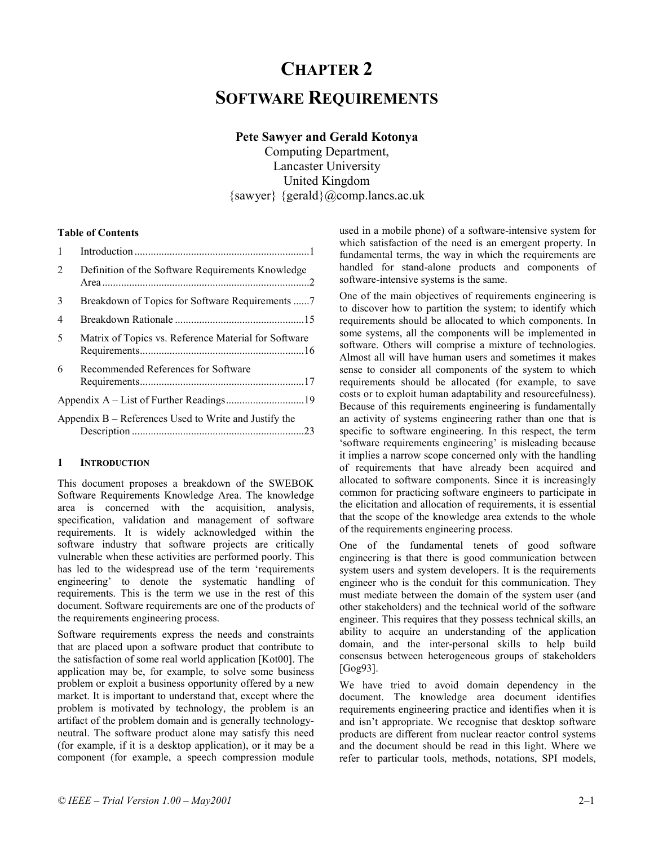# **CHAPTER 2 SOFTWARE REQUIREMENTS**

# **Pete Sawyer and Gerald Kotonya**

Computing Department, Lancaster University United Kingdom {sawyer} {gerald}@comp.lancs.ac.uk

## **Table of Contents**

| 1 |                                                         |  |
|---|---------------------------------------------------------|--|
| 2 | Definition of the Software Requirements Knowledge       |  |
| 3 | Breakdown of Topics for Software Requirements 7         |  |
| 4 |                                                         |  |
| 5 | Matrix of Topics vs. Reference Material for Software    |  |
| 6 | Recommended References for Software                     |  |
|   |                                                         |  |
|   | Appendix $B$ – References Used to Write and Justify the |  |

# **1 INTRODUCTION**

This document proposes a breakdown of the SWEBOK Software Requirements Knowledge Area. The knowledge area is concerned with the acquisition, analysis, specification, validation and management of software requirements. It is widely acknowledged within the software industry that software projects are critically vulnerable when these activities are performed poorly. This has led to the widespread use of the term 'requirements engineering' to denote the systematic handling of requirements. This is the term we use in the rest of this document. Software requirements are one of the products of the requirements engineering process.

Software requirements express the needs and constraints that are placed upon a software product that contribute to the satisfaction of some real world application [Kot00]. The application may be, for example, to solve some business problem or exploit a business opportunity offered by a new market. It is important to understand that, except where the problem is motivated by technology, the problem is an artifact of the problem domain and is generally technologyneutral. The software product alone may satisfy this need (for example, if it is a desktop application), or it may be a component (for example, a speech compression module used in a mobile phone) of a software-intensive system for which satisfaction of the need is an emergent property. In fundamental terms, the way in which the requirements are handled for stand-alone products and components of software-intensive systems is the same.

One of the main objectives of requirements engineering is to discover how to partition the system; to identify which requirements should be allocated to which components. In some systems, all the components will be implemented in software. Others will comprise a mixture of technologies. Almost all will have human users and sometimes it makes sense to consider all components of the system to which requirements should be allocated (for example, to save costs or to exploit human adaptability and resourcefulness). Because of this requirements engineering is fundamentally an activity of systems engineering rather than one that is specific to software engineering. In this respect, the term 'software requirements engineering' is misleading because it implies a narrow scope concerned only with the handling of requirements that have already been acquired and allocated to software components. Since it is increasingly common for practicing software engineers to participate in the elicitation and allocation of requirements, it is essential that the scope of the knowledge area extends to the whole of the requirements engineering process.

One of the fundamental tenets of good software engineering is that there is good communication between system users and system developers. It is the requirements engineer who is the conduit for this communication. They must mediate between the domain of the system user (and other stakeholders) and the technical world of the software engineer. This requires that they possess technical skills, an ability to acquire an understanding of the application domain, and the inter-personal skills to help build consensus between heterogeneous groups of stakeholders [Gog93].

We have tried to avoid domain dependency in the document. The knowledge area document identifies requirements engineering practice and identifies when it is and isn't appropriate. We recognise that desktop software products are different from nuclear reactor control systems and the document should be read in this light. Where we refer to particular tools, methods, notations, SPI models,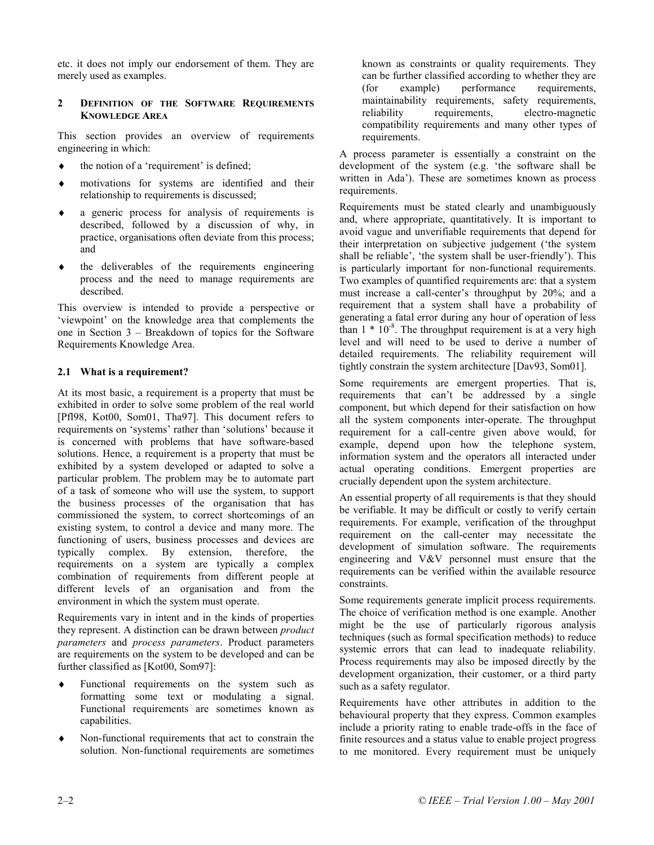etc. it does not imply our endorsement of them. They are merely used as examples.

## **2 DEFINITION OF THE SOFTWARE REQUIREMENTS KNOWLEDGE AREA**

This section provides an overview of requirements engineering in which:

- $\bullet$  the notion of a 'requirement' is defined;
- motivations for systems are identified and their relationship to requirements is discussed;
- a generic process for analysis of requirements is described, followed by a discussion of why, in practice, organisations often deviate from this process; and
- the deliverables of the requirements engineering process and the need to manage requirements are described.

This overview is intended to provide a perspective or 'viewpoint' on the knowledge area that complements the one in Section 3 – Breakdown of topics for the Software Requirements Knowledge Area.

## **2.1 What is a requirement?**

At its most basic, a requirement is a property that must be exhibited in order to solve some problem of the real world [Pfl98, Kot00, Som01, Tha97]. This document refers to requirements on 'systems' rather than 'solutions' because it is concerned with problems that have software-based solutions. Hence, a requirement is a property that must be exhibited by a system developed or adapted to solve a particular problem. The problem may be to automate part of a task of someone who will use the system, to support the business processes of the organisation that has commissioned the system, to correct shortcomings of an existing system, to control a device and many more. The functioning of users, business processes and devices are typically complex. By extension, therefore, the requirements on a system are typically a complex combination of requirements from different people at different levels of an organisation and from the environment in which the system must operate.

Requirements vary in intent and in the kinds of properties they represent. A distinction can be drawn between *product parameters* and *process parameters*. Product parameters are requirements on the system to be developed and can be further classified as [Kot00, Som97]:

- Functional requirements on the system such as formatting some text or modulating a signal. Functional requirements are sometimes known as capabilities.
- Non-functional requirements that act to constrain the solution. Non-functional requirements are sometimes

known as constraints or quality requirements. They can be further classified according to whether they are (for example) performance requirements, maintainability requirements, safety requirements, reliability requirements, electro-magnetic compatibility requirements and many other types of requirements.

A process parameter is essentially a constraint on the development of the system (e.g. 'the software shall be written in Ada'). These are sometimes known as process requirements.

Requirements must be stated clearly and unambiguously and, where appropriate, quantitatively. It is important to avoid vague and unverifiable requirements that depend for their interpretation on subjective judgement ('the system shall be reliable', 'the system shall be user-friendly'). This is particularly important for non-functional requirements. Two examples of quantified requirements are: that a system must increase a call-center's throughput by 20%; and a requirement that a system shall have a probability of generating a fatal error during any hour of operation of less than  $1 * 10^{-8}$ . The throughput requirement is at a very high level and will need to be used to derive a number of detailed requirements. The reliability requirement will tightly constrain the system architecture [Dav93, Som01].

Some requirements are emergent properties. That is, requirements that can't be addressed by a single component, but which depend for their satisfaction on how all the system components inter-operate. The throughput requirement for a call-centre given above would, for example, depend upon how the telephone system, information system and the operators all interacted under actual operating conditions. Emergent properties are crucially dependent upon the system architecture.

An essential property of all requirements is that they should be verifiable. It may be difficult or costly to verify certain requirements. For example, verification of the throughput requirement on the call-center may necessitate the development of simulation software. The requirements engineering and V&V personnel must ensure that the requirements can be verified within the available resource constraints.

Some requirements generate implicit process requirements. The choice of verification method is one example. Another might be the use of particularly rigorous analysis techniques (such as formal specification methods) to reduce systemic errors that can lead to inadequate reliability. Process requirements may also be imposed directly by the development organization, their customer, or a third party such as a safety regulator.

Requirements have other attributes in addition to the behavioural property that they express. Common examples include a priority rating to enable trade-offs in the face of finite resources and a status value to enable project progress to me monitored. Every requirement must be uniquely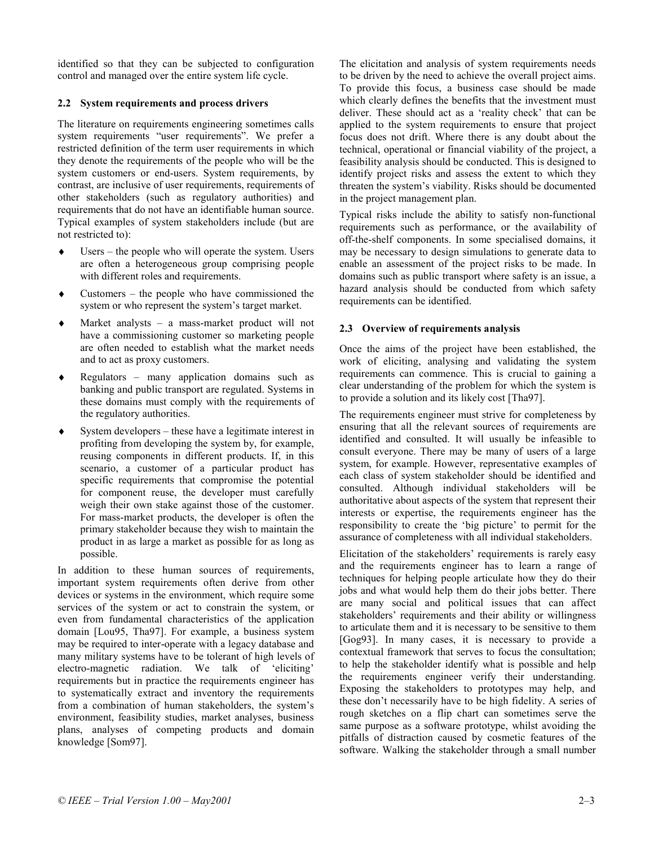identified so that they can be subjected to configuration control and managed over the entire system life cycle.

## **2.2 System requirements and process drivers**

The literature on requirements engineering sometimes calls system requirements "user requirements". We prefer a restricted definition of the term user requirements in which they denote the requirements of the people who will be the system customers or end-users. System requirements, by contrast, are inclusive of user requirements, requirements of other stakeholders (such as regulatory authorities) and requirements that do not have an identifiable human source. Typical examples of system stakeholders include (but are not restricted to):

- ♦ Users the people who will operate the system. Users are often a heterogeneous group comprising people with different roles and requirements.
- $C$ ustomers the people who have commissioned the system or who represent the system's target market.
- Market analysts a mass-market product will not have a commissioning customer so marketing people are often needed to establish what the market needs and to act as proxy customers.
- $Regularors$  many application domains such as banking and public transport are regulated. Systems in these domains must comply with the requirements of the regulatory authorities.
- System developers these have a legitimate interest in profiting from developing the system by, for example, reusing components in different products. If, in this scenario, a customer of a particular product has specific requirements that compromise the potential for component reuse, the developer must carefully weigh their own stake against those of the customer. For mass-market products, the developer is often the primary stakeholder because they wish to maintain the product in as large a market as possible for as long as possible.

In addition to these human sources of requirements, important system requirements often derive from other devices or systems in the environment, which require some services of the system or act to constrain the system, or even from fundamental characteristics of the application domain [Lou95, Tha97]. For example, a business system may be required to inter-operate with a legacy database and many military systems have to be tolerant of high levels of electro-magnetic radiation. We talk of 'eliciting' requirements but in practice the requirements engineer has to systematically extract and inventory the requirements from a combination of human stakeholders, the system's environment, feasibility studies, market analyses, business plans, analyses of competing products and domain knowledge [Som97].

The elicitation and analysis of system requirements needs to be driven by the need to achieve the overall project aims. To provide this focus, a business case should be made which clearly defines the benefits that the investment must deliver. These should act as a 'reality check' that can be applied to the system requirements to ensure that project focus does not drift. Where there is any doubt about the technical, operational or financial viability of the project, a feasibility analysis should be conducted. This is designed to identify project risks and assess the extent to which they threaten the system's viability. Risks should be documented in the project management plan.

Typical risks include the ability to satisfy non-functional requirements such as performance, or the availability of off-the-shelf components. In some specialised domains, it may be necessary to design simulations to generate data to enable an assessment of the project risks to be made. In domains such as public transport where safety is an issue, a hazard analysis should be conducted from which safety requirements can be identified.

## **2.3 Overview of requirements analysis**

Once the aims of the project have been established, the work of eliciting, analysing and validating the system requirements can commence. This is crucial to gaining a clear understanding of the problem for which the system is to provide a solution and its likely cost [Tha97].

The requirements engineer must strive for completeness by ensuring that all the relevant sources of requirements are identified and consulted. It will usually be infeasible to consult everyone. There may be many of users of a large system, for example. However, representative examples of each class of system stakeholder should be identified and consulted. Although individual stakeholders will be authoritative about aspects of the system that represent their interests or expertise, the requirements engineer has the responsibility to create the 'big picture' to permit for the assurance of completeness with all individual stakeholders.

Elicitation of the stakeholders' requirements is rarely easy and the requirements engineer has to learn a range of techniques for helping people articulate how they do their jobs and what would help them do their jobs better. There are many social and political issues that can affect stakeholders' requirements and their ability or willingness to articulate them and it is necessary to be sensitive to them [Gog93]. In many cases, it is necessary to provide a contextual framework that serves to focus the consultation; to help the stakeholder identify what is possible and help the requirements engineer verify their understanding. Exposing the stakeholders to prototypes may help, and these don't necessarily have to be high fidelity. A series of rough sketches on a flip chart can sometimes serve the same purpose as a software prototype, whilst avoiding the pitfalls of distraction caused by cosmetic features of the software. Walking the stakeholder through a small number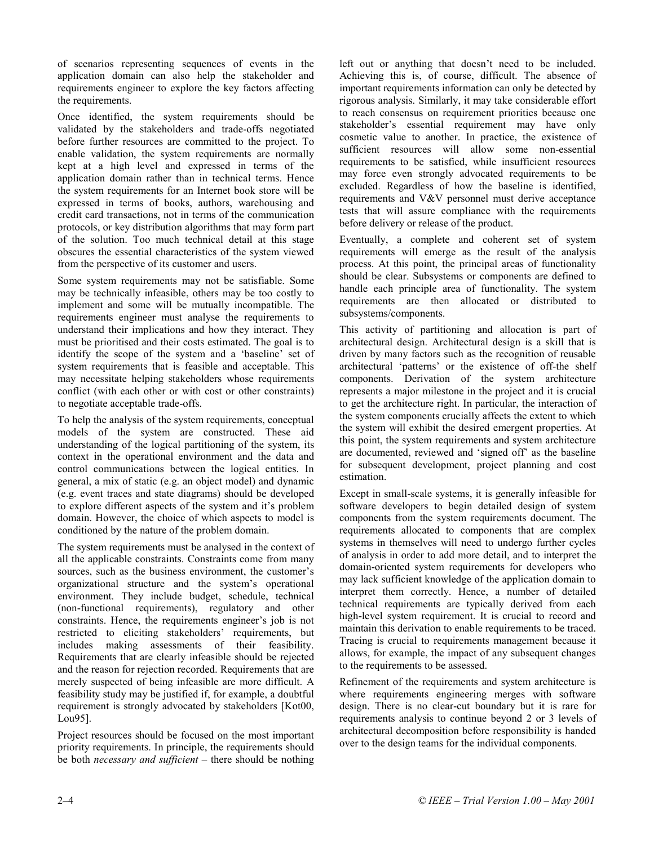of scenarios representing sequences of events in the application domain can also help the stakeholder and requirements engineer to explore the key factors affecting the requirements.

Once identified, the system requirements should be validated by the stakeholders and trade-offs negotiated before further resources are committed to the project. To enable validation, the system requirements are normally kept at a high level and expressed in terms of the application domain rather than in technical terms. Hence the system requirements for an Internet book store will be expressed in terms of books, authors, warehousing and credit card transactions, not in terms of the communication protocols, or key distribution algorithms that may form part of the solution. Too much technical detail at this stage obscures the essential characteristics of the system viewed from the perspective of its customer and users.

Some system requirements may not be satisfiable. Some may be technically infeasible, others may be too costly to implement and some will be mutually incompatible. The requirements engineer must analyse the requirements to understand their implications and how they interact. They must be prioritised and their costs estimated. The goal is to identify the scope of the system and a 'baseline' set of system requirements that is feasible and acceptable. This may necessitate helping stakeholders whose requirements conflict (with each other or with cost or other constraints) to negotiate acceptable trade-offs.

To help the analysis of the system requirements, conceptual models of the system are constructed. These aid understanding of the logical partitioning of the system, its context in the operational environment and the data and control communications between the logical entities. In general, a mix of static (e.g. an object model) and dynamic (e.g. event traces and state diagrams) should be developed to explore different aspects of the system and it's problem domain. However, the choice of which aspects to model is conditioned by the nature of the problem domain.

The system requirements must be analysed in the context of all the applicable constraints. Constraints come from many sources, such as the business environment, the customer's organizational structure and the system's operational environment. They include budget, schedule, technical (non-functional requirements), regulatory and other constraints. Hence, the requirements engineer's job is not restricted to eliciting stakeholders' requirements, but includes making assessments of their feasibility. Requirements that are clearly infeasible should be rejected and the reason for rejection recorded. Requirements that are merely suspected of being infeasible are more difficult. A feasibility study may be justified if, for example, a doubtful requirement is strongly advocated by stakeholders [Kot00, Lou95].

Project resources should be focused on the most important priority requirements. In principle, the requirements should be both *necessary and sufficient* – there should be nothing left out or anything that doesn't need to be included. Achieving this is, of course, difficult. The absence of important requirements information can only be detected by rigorous analysis. Similarly, it may take considerable effort to reach consensus on requirement priorities because one stakeholder's essential requirement may have only cosmetic value to another. In practice, the existence of sufficient resources will allow some non-essential requirements to be satisfied, while insufficient resources may force even strongly advocated requirements to be excluded. Regardless of how the baseline is identified, requirements and V&V personnel must derive acceptance tests that will assure compliance with the requirements before delivery or release of the product.

Eventually, a complete and coherent set of system requirements will emerge as the result of the analysis process. At this point, the principal areas of functionality should be clear. Subsystems or components are defined to handle each principle area of functionality. The system requirements are then allocated or distributed to subsystems/components.

This activity of partitioning and allocation is part of architectural design. Architectural design is a skill that is driven by many factors such as the recognition of reusable architectural 'patterns' or the existence of off-the shelf components. Derivation of the system architecture represents a major milestone in the project and it is crucial to get the architecture right. In particular, the interaction of the system components crucially affects the extent to which the system will exhibit the desired emergent properties. At this point, the system requirements and system architecture are documented, reviewed and 'signed off' as the baseline for subsequent development, project planning and cost estimation.

Except in small-scale systems, it is generally infeasible for software developers to begin detailed design of system components from the system requirements document. The requirements allocated to components that are complex systems in themselves will need to undergo further cycles of analysis in order to add more detail, and to interpret the domain-oriented system requirements for developers who may lack sufficient knowledge of the application domain to interpret them correctly. Hence, a number of detailed technical requirements are typically derived from each high-level system requirement. It is crucial to record and maintain this derivation to enable requirements to be traced. Tracing is crucial to requirements management because it allows, for example, the impact of any subsequent changes to the requirements to be assessed.

Refinement of the requirements and system architecture is where requirements engineering merges with software design. There is no clear-cut boundary but it is rare for requirements analysis to continue beyond 2 or 3 levels of architectural decomposition before responsibility is handed over to the design teams for the individual components.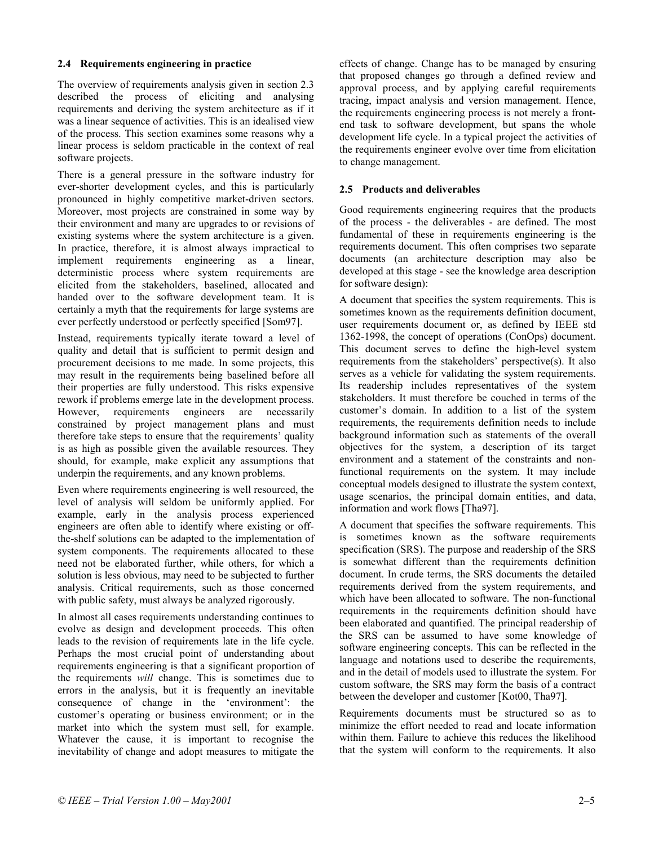#### **2.4 Requirements engineering in practice**

The overview of requirements analysis given in section 2.3 described the process of eliciting and analysing requirements and deriving the system architecture as if it was a linear sequence of activities. This is an idealised view of the process. This section examines some reasons why a linear process is seldom practicable in the context of real software projects.

There is a general pressure in the software industry for ever-shorter development cycles, and this is particularly pronounced in highly competitive market-driven sectors. Moreover, most projects are constrained in some way by their environment and many are upgrades to or revisions of existing systems where the system architecture is a given. In practice, therefore, it is almost always impractical to implement requirements engineering as a linear, deterministic process where system requirements are elicited from the stakeholders, baselined, allocated and handed over to the software development team. It is certainly a myth that the requirements for large systems are ever perfectly understood or perfectly specified [Som97].

Instead, requirements typically iterate toward a level of quality and detail that is sufficient to permit design and procurement decisions to me made. In some projects, this may result in the requirements being baselined before all their properties are fully understood. This risks expensive rework if problems emerge late in the development process. However, requirements engineers are necessarily constrained by project management plans and must therefore take steps to ensure that the requirements' quality is as high as possible given the available resources. They should, for example, make explicit any assumptions that underpin the requirements, and any known problems.

Even where requirements engineering is well resourced, the level of analysis will seldom be uniformly applied. For example, early in the analysis process experienced engineers are often able to identify where existing or offthe-shelf solutions can be adapted to the implementation of system components. The requirements allocated to these need not be elaborated further, while others, for which a solution is less obvious, may need to be subjected to further analysis. Critical requirements, such as those concerned with public safety, must always be analyzed rigorously.

In almost all cases requirements understanding continues to evolve as design and development proceeds. This often leads to the revision of requirements late in the life cycle. Perhaps the most crucial point of understanding about requirements engineering is that a significant proportion of the requirements *will* change. This is sometimes due to errors in the analysis, but it is frequently an inevitable consequence of change in the 'environment': the customer's operating or business environment; or in the market into which the system must sell, for example. Whatever the cause, it is important to recognise the inevitability of change and adopt measures to mitigate the effects of change. Change has to be managed by ensuring that proposed changes go through a defined review and approval process, and by applying careful requirements tracing, impact analysis and version management. Hence, the requirements engineering process is not merely a frontend task to software development, but spans the whole development life cycle. In a typical project the activities of the requirements engineer evolve over time from elicitation to change management.

#### **2.5 Products and deliverables**

Good requirements engineering requires that the products of the process - the deliverables - are defined. The most fundamental of these in requirements engineering is the requirements document. This often comprises two separate documents (an architecture description may also be developed at this stage - see the knowledge area description for software design):

A document that specifies the system requirements. This is sometimes known as the requirements definition document, user requirements document or, as defined by IEEE std 1362-1998, the concept of operations (ConOps) document. This document serves to define the high-level system requirements from the stakeholders' perspective(s). It also serves as a vehicle for validating the system requirements. Its readership includes representatives of the system stakeholders. It must therefore be couched in terms of the customer's domain. In addition to a list of the system requirements, the requirements definition needs to include background information such as statements of the overall objectives for the system, a description of its target environment and a statement of the constraints and nonfunctional requirements on the system. It may include conceptual models designed to illustrate the system context, usage scenarios, the principal domain entities, and data, information and work flows [Tha97].

A document that specifies the software requirements. This is sometimes known as the software requirements specification (SRS). The purpose and readership of the SRS is somewhat different than the requirements definition document. In crude terms, the SRS documents the detailed requirements derived from the system requirements, and which have been allocated to software. The non-functional requirements in the requirements definition should have been elaborated and quantified. The principal readership of the SRS can be assumed to have some knowledge of software engineering concepts. This can be reflected in the language and notations used to describe the requirements. and in the detail of models used to illustrate the system. For custom software, the SRS may form the basis of a contract between the developer and customer [Kot00, Tha97].

Requirements documents must be structured so as to minimize the effort needed to read and locate information within them. Failure to achieve this reduces the likelihood that the system will conform to the requirements. It also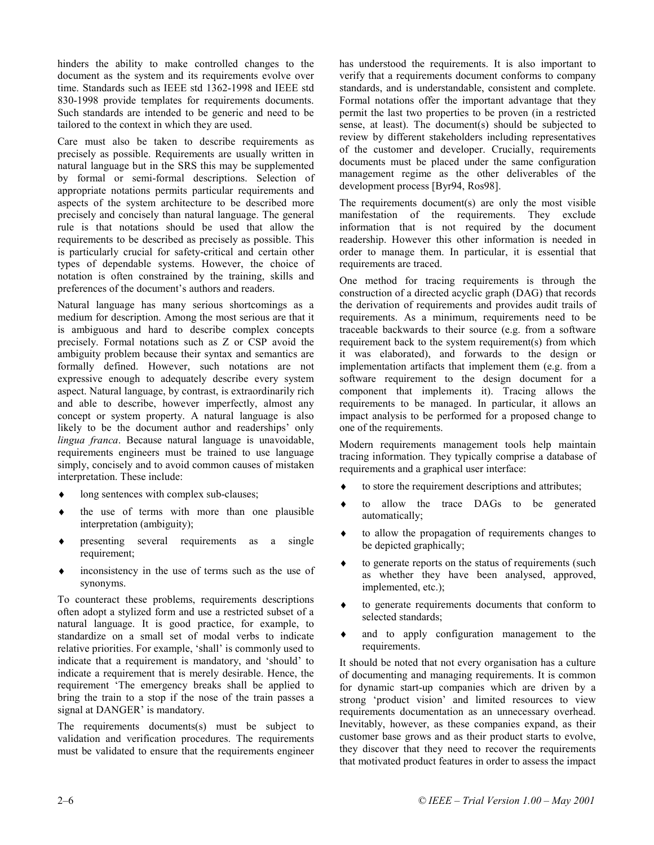hinders the ability to make controlled changes to the document as the system and its requirements evolve over time. Standards such as IEEE std 1362-1998 and IEEE std 830-1998 provide templates for requirements documents. Such standards are intended to be generic and need to be tailored to the context in which they are used.

Care must also be taken to describe requirements as precisely as possible. Requirements are usually written in natural language but in the SRS this may be supplemented by formal or semi-formal descriptions. Selection of appropriate notations permits particular requirements and aspects of the system architecture to be described more precisely and concisely than natural language. The general rule is that notations should be used that allow the requirements to be described as precisely as possible. This is particularly crucial for safety-critical and certain other types of dependable systems. However, the choice of notation is often constrained by the training, skills and preferences of the document's authors and readers.

Natural language has many serious shortcomings as a medium for description. Among the most serious are that it is ambiguous and hard to describe complex concepts precisely. Formal notations such as Z or CSP avoid the ambiguity problem because their syntax and semantics are formally defined. However, such notations are not expressive enough to adequately describe every system aspect. Natural language, by contrast, is extraordinarily rich and able to describe, however imperfectly, almost any concept or system property. A natural language is also likely to be the document author and readerships' only *lingua franca*. Because natural language is unavoidable, requirements engineers must be trained to use language simply, concisely and to avoid common causes of mistaken interpretation. These include:

- long sentences with complex sub-clauses;
- the use of terms with more than one plausible interpretation (ambiguity);
- presenting several requirements as a single requirement;
- inconsistency in the use of terms such as the use of synonyms.

To counteract these problems, requirements descriptions often adopt a stylized form and use a restricted subset of a natural language. It is good practice, for example, to standardize on a small set of modal verbs to indicate relative priorities. For example, 'shall' is commonly used to indicate that a requirement is mandatory, and 'should' to indicate a requirement that is merely desirable. Hence, the requirement 'The emergency breaks shall be applied to bring the train to a stop if the nose of the train passes a signal at DANGER' is mandatory.

The requirements documents(s) must be subject to validation and verification procedures. The requirements must be validated to ensure that the requirements engineer

has understood the requirements. It is also important to verify that a requirements document conforms to company standards, and is understandable, consistent and complete. Formal notations offer the important advantage that they permit the last two properties to be proven (in a restricted sense, at least). The document(s) should be subjected to review by different stakeholders including representatives of the customer and developer. Crucially, requirements documents must be placed under the same configuration management regime as the other deliverables of the development process [Byr94, Ros98].

The requirements document(s) are only the most visible manifestation of the requirements. They exclude information that is not required by the document readership. However this other information is needed in order to manage them. In particular, it is essential that requirements are traced.

One method for tracing requirements is through the construction of a directed acyclic graph (DAG) that records the derivation of requirements and provides audit trails of requirements. As a minimum, requirements need to be traceable backwards to their source (e.g. from a software requirement back to the system requirement(s) from which it was elaborated), and forwards to the design or implementation artifacts that implement them (e.g. from a software requirement to the design document for a component that implements it). Tracing allows the requirements to be managed. In particular, it allows an impact analysis to be performed for a proposed change to one of the requirements.

Modern requirements management tools help maintain tracing information. They typically comprise a database of requirements and a graphical user interface:

- to store the requirement descriptions and attributes;
- to allow the trace DAGs to be generated automatically;
- to allow the propagation of requirements changes to be depicted graphically;
- ♦ to generate reports on the status of requirements (such as whether they have been analysed, approved, implemented, etc.);
- to generate requirements documents that conform to selected standards;
- and to apply configuration management to the requirements.

It should be noted that not every organisation has a culture of documenting and managing requirements. It is common for dynamic start-up companies which are driven by a strong 'product vision' and limited resources to view requirements documentation as an unnecessary overhead. Inevitably, however, as these companies expand, as their customer base grows and as their product starts to evolve, they discover that they need to recover the requirements that motivated product features in order to assess the impact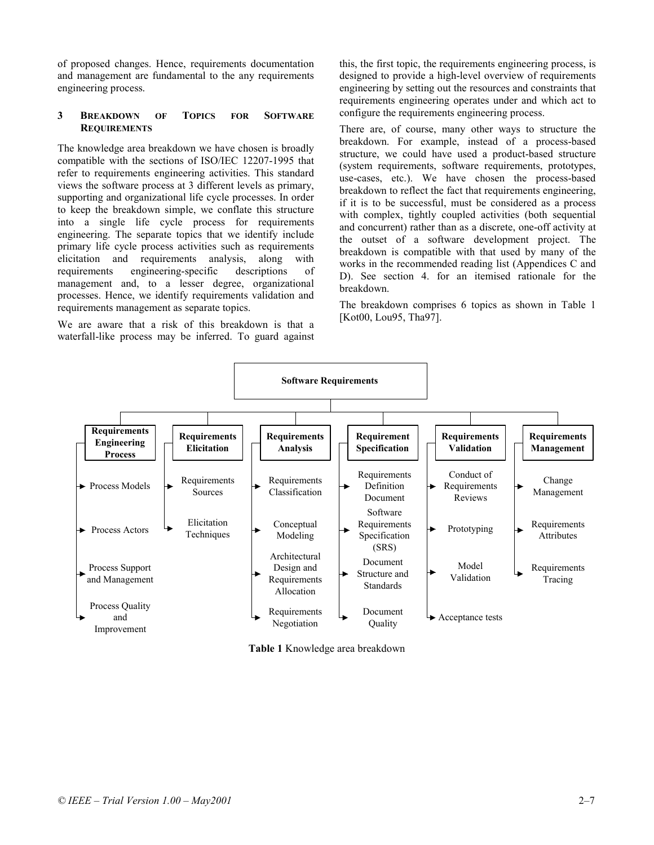of proposed changes. Hence, requirements documentation and management are fundamental to the any requirements engineering process.

#### **3 BREAKDOWN OF TOPICS FOR SOFTWARE REQUIREMENTS**

The knowledge area breakdown we have chosen is broadly compatible with the sections of ISO/IEC 12207-1995 that refer to requirements engineering activities. This standard views the software process at 3 different levels as primary, supporting and organizational life cycle processes. In order to keep the breakdown simple, we conflate this structure into a single life cycle process for requirements engineering. The separate topics that we identify include primary life cycle process activities such as requirements elicitation and requirements analysis, along with requirements engineering-specific descriptions of management and, to a lesser degree, organizational processes. Hence, we identify requirements validation and requirements management as separate topics.

We are aware that a risk of this breakdown is that a waterfall-like process may be inferred. To guard against this, the first topic, the requirements engineering process, is designed to provide a high-level overview of requirements engineering by setting out the resources and constraints that requirements engineering operates under and which act to configure the requirements engineering process.

There are, of course, many other ways to structure the breakdown. For example, instead of a process-based structure, we could have used a product-based structure (system requirements, software requirements, prototypes, use-cases, etc.). We have chosen the process-based breakdown to reflect the fact that requirements engineering, if it is to be successful, must be considered as a process with complex, tightly coupled activities (both sequential and concurrent) rather than as a discrete, one-off activity at the outset of a software development project. The breakdown is compatible with that used by many of the works in the recommended reading list (Appendices C and D). See section 4. for an itemised rationale for the breakdown.

The breakdown comprises 6 topics as shown in Table 1 [Kot00, Lou95, Tha97].



**Table 1** Knowledge area breakdown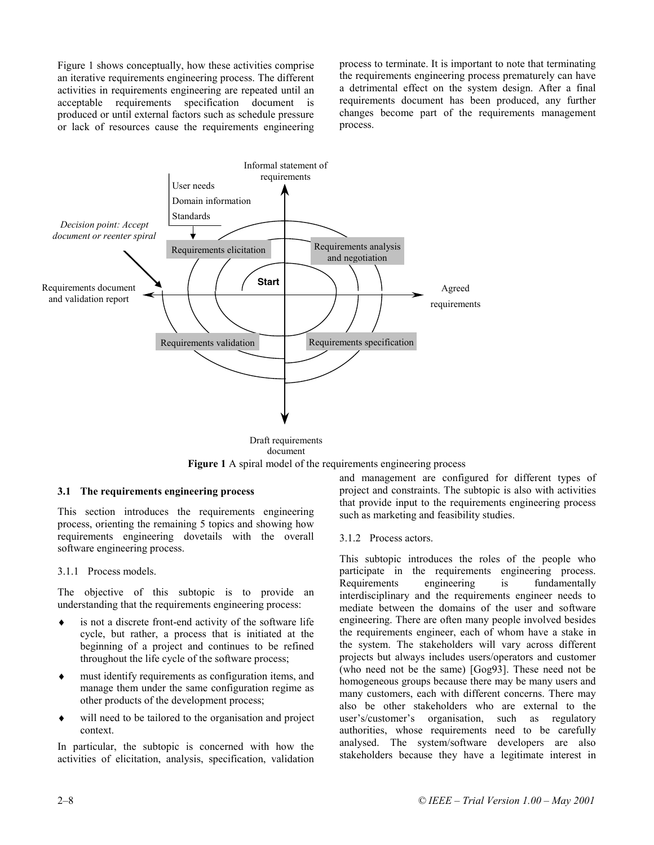Figure 1 shows conceptually, how these activities comprise an iterative requirements engineering process. The different activities in requirements engineering are repeated until an acceptable requirements specification document is produced or until external factors such as schedule pressure or lack of resources cause the requirements engineering process to terminate. It is important to note that terminating the requirements engineering process prematurely can have a detrimental effect on the system design. After a final requirements document has been produced, any further changes become part of the requirements management process.



**Figure 1** A spiral model of the requirements engineering process Draft requirements document

#### **3.1 The requirements engineering process**

This section introduces the requirements engineering process, orienting the remaining 5 topics and showing how requirements engineering dovetails with the overall software engineering process.

#### 3.1.1 Process models.

The objective of this subtopic is to provide an understanding that the requirements engineering process:

- is not a discrete front-end activity of the software life cycle, but rather, a process that is initiated at the beginning of a project and continues to be refined throughout the life cycle of the software process;
- ♦ must identify requirements as configuration items, and manage them under the same configuration regime as other products of the development process;
- will need to be tailored to the organisation and project context.

In particular, the subtopic is concerned with how the activities of elicitation, analysis, specification, validation

and management are configured for different types of project and constraints. The subtopic is also with activities that provide input to the requirements engineering process such as marketing and feasibility studies.

#### 3.1.2 Process actors.

This subtopic introduces the roles of the people who participate in the requirements engineering process. Requirements engineering is fundamentally interdisciplinary and the requirements engineer needs to mediate between the domains of the user and software engineering. There are often many people involved besides the requirements engineer, each of whom have a stake in the system. The stakeholders will vary across different projects but always includes users/operators and customer (who need not be the same) [Gog93]. These need not be homogeneous groups because there may be many users and many customers, each with different concerns. There may also be other stakeholders who are external to the user's/customer's organisation, such as regulatory authorities, whose requirements need to be carefully analysed. The system/software developers are also stakeholders because they have a legitimate interest in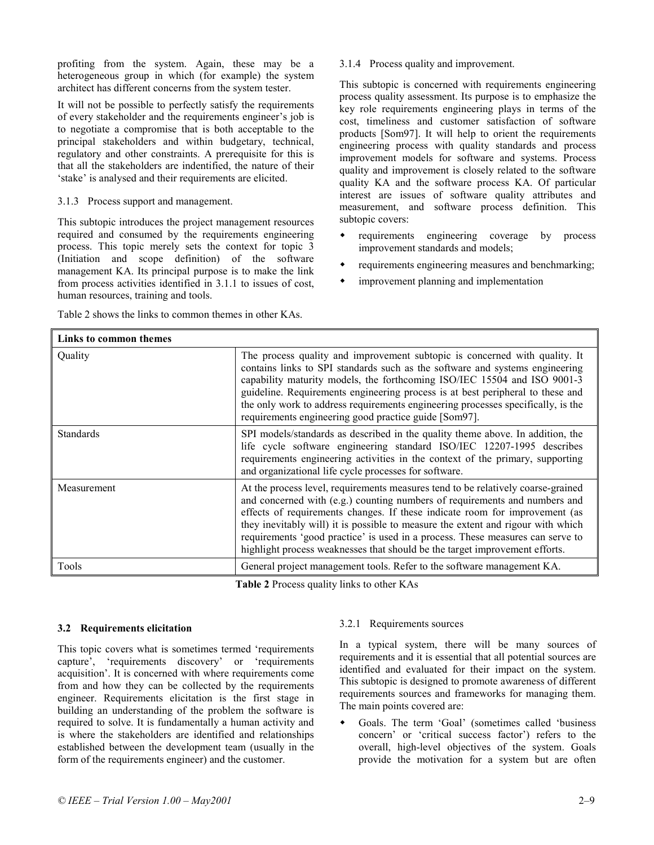profiting from the system. Again, these may be a heterogeneous group in which (for example) the system architect has different concerns from the system tester.

It will not be possible to perfectly satisfy the requirements of every stakeholder and the requirements engineer's job is to negotiate a compromise that is both acceptable to the principal stakeholders and within budgetary, technical, regulatory and other constraints. A prerequisite for this is that all the stakeholders are indentified, the nature of their 'stake' is analysed and their requirements are elicited.

3.1.3 Process support and management.

This subtopic introduces the project management resources required and consumed by the requirements engineering process. This topic merely sets the context for topic 3 (Initiation and scope definition) of the software management KA. Its principal purpose is to make the link from process activities identified in 3.1.1 to issues of cost, human resources, training and tools.

Table 2 shows the links to common themes in other KAs.

3.1.4 Process quality and improvement.

This subtopic is concerned with requirements engineering process quality assessment. Its purpose is to emphasize the key role requirements engineering plays in terms of the cost, timeliness and customer satisfaction of software products [Som97]. It will help to orient the requirements engineering process with quality standards and process improvement models for software and systems. Process quality and improvement is closely related to the software quality KA and the software process KA. Of particular interest are issues of software quality attributes and measurement, and software process definition. This subtopic covers:

- requirements engineering coverage by process improvement standards and models;
- requirements engineering measures and benchmarking;
- improvement planning and implementation

| Links to common themes |                                                                                                                                                                                                                                                                                                                                                                                                                                                                                                    |
|------------------------|----------------------------------------------------------------------------------------------------------------------------------------------------------------------------------------------------------------------------------------------------------------------------------------------------------------------------------------------------------------------------------------------------------------------------------------------------------------------------------------------------|
| Quality                | The process quality and improvement subtopic is concerned with quality. It<br>contains links to SPI standards such as the software and systems engineering<br>capability maturity models, the forthcoming ISO/IEC 15504 and ISO 9001-3<br>guideline. Requirements engineering process is at best peripheral to these and<br>the only work to address requirements engineering processes specifically, is the<br>requirements engineering good practice guide [Som97].                              |
| <b>Standards</b>       | SPI models/standards as described in the quality theme above. In addition, the<br>life cycle software engineering standard ISO/IEC 12207-1995 describes<br>requirements engineering activities in the context of the primary, supporting<br>and organizational life cycle processes for software.                                                                                                                                                                                                  |
| Measurement            | At the process level, requirements measures tend to be relatively coarse-grained<br>and concerned with (e.g.) counting numbers of requirements and numbers and<br>effects of requirements changes. If these indicate room for improvement (as<br>they inevitably will) it is possible to measure the extent and rigour with which<br>requirements 'good practice' is used in a process. These measures can serve to<br>highlight process weaknesses that should be the target improvement efforts. |
| Tools                  | General project management tools. Refer to the software management KA.                                                                                                                                                                                                                                                                                                                                                                                                                             |

**Table 2** Process quality links to other KAs

## **3.2 Requirements elicitation**

This topic covers what is sometimes termed 'requirements capture', 'requirements discovery' or 'requirements acquisition'. It is concerned with where requirements come from and how they can be collected by the requirements engineer. Requirements elicitation is the first stage in building an understanding of the problem the software is required to solve. It is fundamentally a human activity and is where the stakeholders are identified and relationships established between the development team (usually in the form of the requirements engineer) and the customer.

## 3.2.1 Requirements sources

In a typical system, there will be many sources of requirements and it is essential that all potential sources are identified and evaluated for their impact on the system. This subtopic is designed to promote awareness of different requirements sources and frameworks for managing them. The main points covered are:

 Goals. The term 'Goal' (sometimes called 'business concern' or 'critical success factor') refers to the overall, high-level objectives of the system. Goals provide the motivation for a system but are often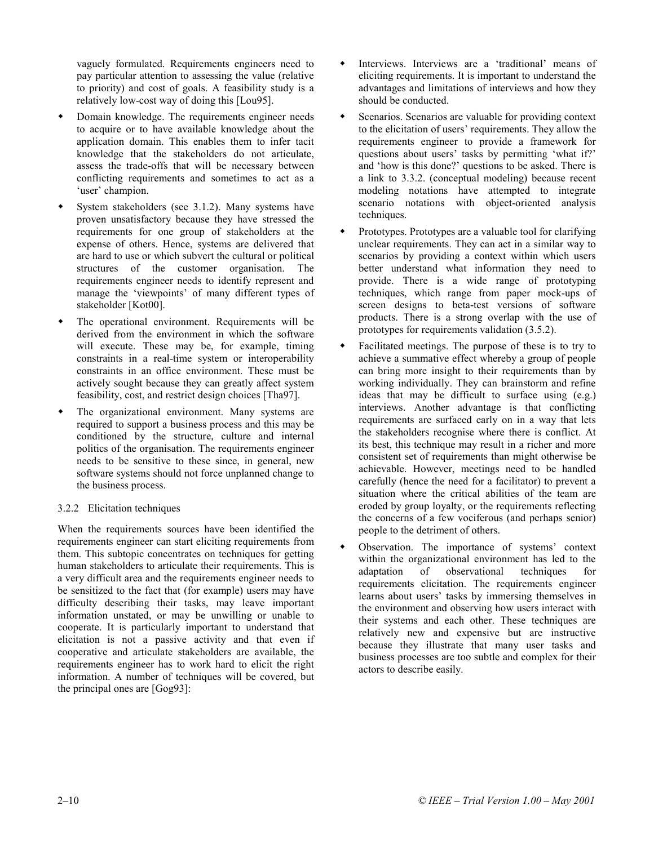vaguely formulated. Requirements engineers need to pay particular attention to assessing the value (relative to priority) and cost of goals. A feasibility study is a relatively low-cost way of doing this [Lou95].

- Domain knowledge. The requirements engineer needs to acquire or to have available knowledge about the application domain. This enables them to infer tacit knowledge that the stakeholders do not articulate, assess the trade-offs that will be necessary between conflicting requirements and sometimes to act as a 'user' champion.
- System stakeholders (see 3.1.2). Many systems have proven unsatisfactory because they have stressed the requirements for one group of stakeholders at the expense of others. Hence, systems are delivered that are hard to use or which subvert the cultural or political structures of the customer organisation. The requirements engineer needs to identify represent and manage the 'viewpoints' of many different types of stakeholder [Kot00].
- The operational environment. Requirements will be derived from the environment in which the software will execute. These may be, for example, timing constraints in a real-time system or interoperability constraints in an office environment. These must be actively sought because they can greatly affect system feasibility, cost, and restrict design choices [Tha97].
- The organizational environment. Many systems are required to support a business process and this may be conditioned by the structure, culture and internal politics of the organisation. The requirements engineer needs to be sensitive to these since, in general, new software systems should not force unplanned change to the business process.

## 3.2.2 Elicitation techniques

When the requirements sources have been identified the requirements engineer can start eliciting requirements from them. This subtopic concentrates on techniques for getting human stakeholders to articulate their requirements. This is a very difficult area and the requirements engineer needs to be sensitized to the fact that (for example) users may have difficulty describing their tasks, may leave important information unstated, or may be unwilling or unable to cooperate. It is particularly important to understand that elicitation is not a passive activity and that even if cooperative and articulate stakeholders are available, the requirements engineer has to work hard to elicit the right information. A number of techniques will be covered, but the principal ones are [Gog93]:

- Interviews. Interviews are a 'traditional' means of eliciting requirements. It is important to understand the advantages and limitations of interviews and how they should be conducted.
- Scenarios. Scenarios are valuable for providing context to the elicitation of users' requirements. They allow the requirements engineer to provide a framework for questions about users' tasks by permitting 'what if?' and 'how is this done?' questions to be asked. There is a link to 3.3.2. (conceptual modeling) because recent modeling notations have attempted to integrate scenario notations with object-oriented analysis techniques.
- Prototypes. Prototypes are a valuable tool for clarifying unclear requirements. They can act in a similar way to scenarios by providing a context within which users better understand what information they need to provide. There is a wide range of prototyping techniques, which range from paper mock-ups of screen designs to beta-test versions of software products. There is a strong overlap with the use of prototypes for requirements validation (3.5.2).
- Facilitated meetings. The purpose of these is to try to achieve a summative effect whereby a group of people can bring more insight to their requirements than by working individually. They can brainstorm and refine ideas that may be difficult to surface using (e.g.) interviews. Another advantage is that conflicting requirements are surfaced early on in a way that lets the stakeholders recognise where there is conflict. At its best, this technique may result in a richer and more consistent set of requirements than might otherwise be achievable. However, meetings need to be handled carefully (hence the need for a facilitator) to prevent a situation where the critical abilities of the team are eroded by group loyalty, or the requirements reflecting the concerns of a few vociferous (and perhaps senior) people to the detriment of others.
- Observation. The importance of systems' context within the organizational environment has led to the adaptation of observational techniques for requirements elicitation. The requirements engineer learns about users' tasks by immersing themselves in the environment and observing how users interact with their systems and each other. These techniques are relatively new and expensive but are instructive because they illustrate that many user tasks and business processes are too subtle and complex for their actors to describe easily.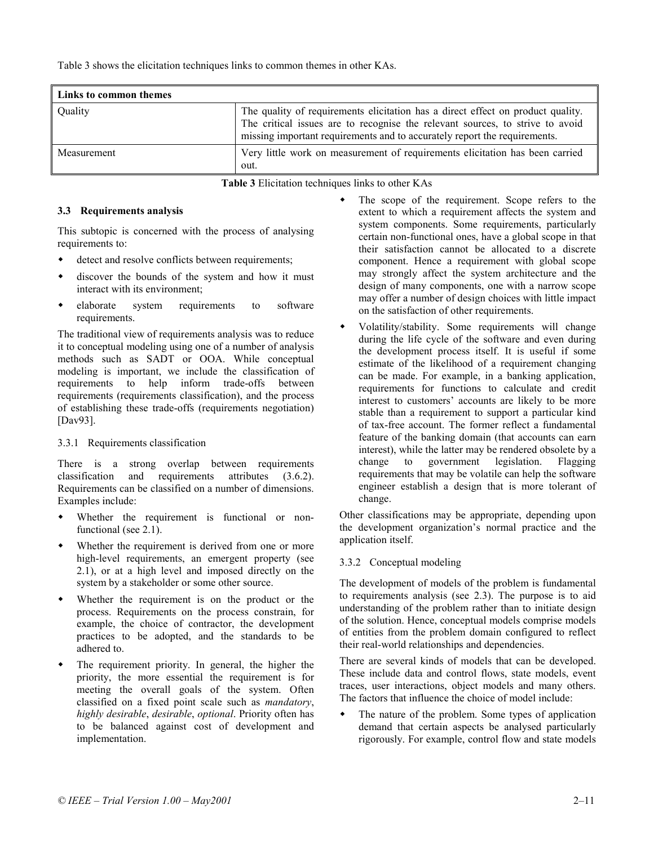Table 3 shows the elicitation techniques links to common themes in other KAs.

| Links to common themes |                                                                                                                                                                                                                                               |
|------------------------|-----------------------------------------------------------------------------------------------------------------------------------------------------------------------------------------------------------------------------------------------|
| Quality                | The quality of requirements elicitation has a direct effect on product quality.<br>The critical issues are to recognise the relevant sources, to strive to avoid<br>missing important requirements and to accurately report the requirements. |
| Measurement            | Very little work on measurement of requirements elicitation has been carried<br>out.                                                                                                                                                          |

**Table 3** Elicitation techniques links to other KAs

## **3.3 Requirements analysis**

This subtopic is concerned with the process of analysing requirements to:

- detect and resolve conflicts between requirements;
- discover the bounds of the system and how it must interact with its environment;
- elaborate system requirements to software requirements.

The traditional view of requirements analysis was to reduce it to conceptual modeling using one of a number of analysis methods such as SADT or OOA. While conceptual modeling is important, we include the classification of requirements to help inform trade-offs between requirements (requirements classification), and the process of establishing these trade-offs (requirements negotiation) [Dav93].

## 3.3.1 Requirements classification

There is a strong overlap between requirements classification and requirements attributes (3.6.2). Requirements can be classified on a number of dimensions. Examples include:

- Whether the requirement is functional or nonfunctional (see 2.1).
- Whether the requirement is derived from one or more high-level requirements, an emergent property (see 2.1), or at a high level and imposed directly on the system by a stakeholder or some other source.
- Whether the requirement is on the product or the process. Requirements on the process constrain, for example, the choice of contractor, the development practices to be adopted, and the standards to be adhered to.
- The requirement priority. In general, the higher the priority, the more essential the requirement is for meeting the overall goals of the system. Often classified on a fixed point scale such as *mandatory*, *highly desirable*, *desirable*, *optional*. Priority often has to be balanced against cost of development and implementation.
- The scope of the requirement. Scope refers to the extent to which a requirement affects the system and system components. Some requirements, particularly certain non-functional ones, have a global scope in that their satisfaction cannot be allocated to a discrete component. Hence a requirement with global scope may strongly affect the system architecture and the design of many components, one with a narrow scope may offer a number of design choices with little impact on the satisfaction of other requirements.
- Volatility/stability. Some requirements will change during the life cycle of the software and even during the development process itself. It is useful if some estimate of the likelihood of a requirement changing can be made. For example, in a banking application, requirements for functions to calculate and credit interest to customers' accounts are likely to be more stable than a requirement to support a particular kind of tax-free account. The former reflect a fundamental feature of the banking domain (that accounts can earn interest), while the latter may be rendered obsolete by a change to government legislation. Flagging requirements that may be volatile can help the software engineer establish a design that is more tolerant of change.

Other classifications may be appropriate, depending upon the development organization's normal practice and the application itself.

# 3.3.2 Conceptual modeling

The development of models of the problem is fundamental to requirements analysis (see 2.3). The purpose is to aid understanding of the problem rather than to initiate design of the solution. Hence, conceptual models comprise models of entities from the problem domain configured to reflect their real-world relationships and dependencies.

There are several kinds of models that can be developed. These include data and control flows, state models, event traces, user interactions, object models and many others. The factors that influence the choice of model include:

• The nature of the problem. Some types of application demand that certain aspects be analysed particularly rigorously. For example, control flow and state models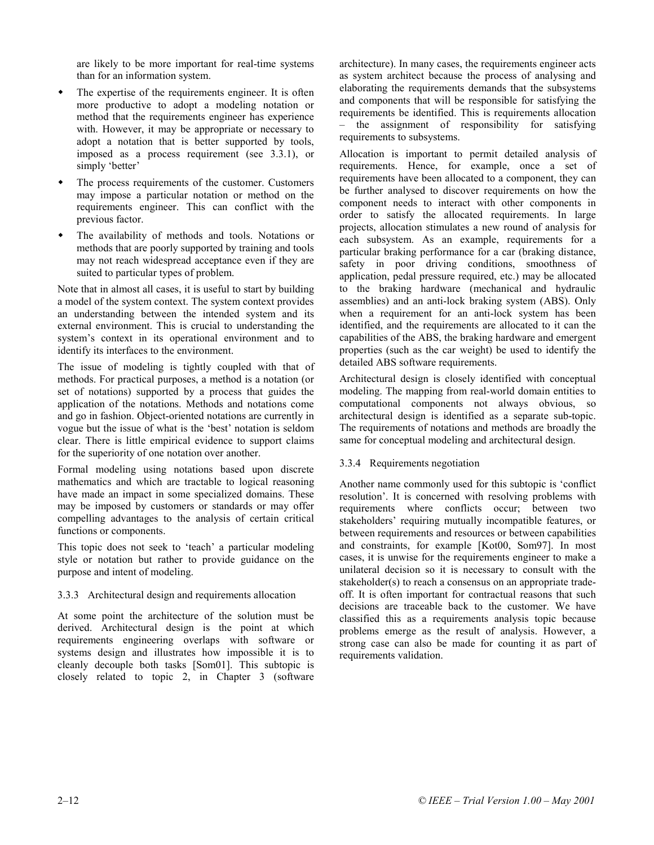are likely to be more important for real-time systems than for an information system.

- The expertise of the requirements engineer. It is often more productive to adopt a modeling notation or method that the requirements engineer has experience with. However, it may be appropriate or necessary to adopt a notation that is better supported by tools, imposed as a process requirement (see 3.3.1), or simply 'better'
- The process requirements of the customer. Customers may impose a particular notation or method on the requirements engineer. This can conflict with the previous factor.
- The availability of methods and tools. Notations or methods that are poorly supported by training and tools may not reach widespread acceptance even if they are suited to particular types of problem.

Note that in almost all cases, it is useful to start by building a model of the system context. The system context provides an understanding between the intended system and its external environment. This is crucial to understanding the system's context in its operational environment and to identify its interfaces to the environment.

The issue of modeling is tightly coupled with that of methods. For practical purposes, a method is a notation (or set of notations) supported by a process that guides the application of the notations. Methods and notations come and go in fashion. Object-oriented notations are currently in vogue but the issue of what is the 'best' notation is seldom clear. There is little empirical evidence to support claims for the superiority of one notation over another.

Formal modeling using notations based upon discrete mathematics and which are tractable to logical reasoning have made an impact in some specialized domains. These may be imposed by customers or standards or may offer compelling advantages to the analysis of certain critical functions or components.

This topic does not seek to 'teach' a particular modeling style or notation but rather to provide guidance on the purpose and intent of modeling.

## 3.3.3 Architectural design and requirements allocation

At some point the architecture of the solution must be derived. Architectural design is the point at which requirements engineering overlaps with software or systems design and illustrates how impossible it is to cleanly decouple both tasks [Som01]. This subtopic is closely related to topic 2, in Chapter 3 (software architecture). In many cases, the requirements engineer acts as system architect because the process of analysing and elaborating the requirements demands that the subsystems and components that will be responsible for satisfying the requirements be identified. This is requirements allocation – the assignment of responsibility for satisfying requirements to subsystems.

Allocation is important to permit detailed analysis of requirements. Hence, for example, once a set of requirements have been allocated to a component, they can be further analysed to discover requirements on how the component needs to interact with other components in order to satisfy the allocated requirements. In large projects, allocation stimulates a new round of analysis for each subsystem. As an example, requirements for a particular braking performance for a car (braking distance, safety in poor driving conditions, smoothness of application, pedal pressure required, etc.) may be allocated to the braking hardware (mechanical and hydraulic assemblies) and an anti-lock braking system (ABS). Only when a requirement for an anti-lock system has been identified, and the requirements are allocated to it can the capabilities of the ABS, the braking hardware and emergent properties (such as the car weight) be used to identify the detailed ABS software requirements.

Architectural design is closely identified with conceptual modeling. The mapping from real-world domain entities to computational components not always obvious, so architectural design is identified as a separate sub-topic. The requirements of notations and methods are broadly the same for conceptual modeling and architectural design.

## 3.3.4 Requirements negotiation

Another name commonly used for this subtopic is 'conflict resolution'. It is concerned with resolving problems with requirements where conflicts occur; between two stakeholders' requiring mutually incompatible features, or between requirements and resources or between capabilities and constraints, for example [Kot00, Som97]. In most cases, it is unwise for the requirements engineer to make a unilateral decision so it is necessary to consult with the stakeholder(s) to reach a consensus on an appropriate tradeoff. It is often important for contractual reasons that such decisions are traceable back to the customer. We have classified this as a requirements analysis topic because problems emerge as the result of analysis. However, a strong case can also be made for counting it as part of requirements validation.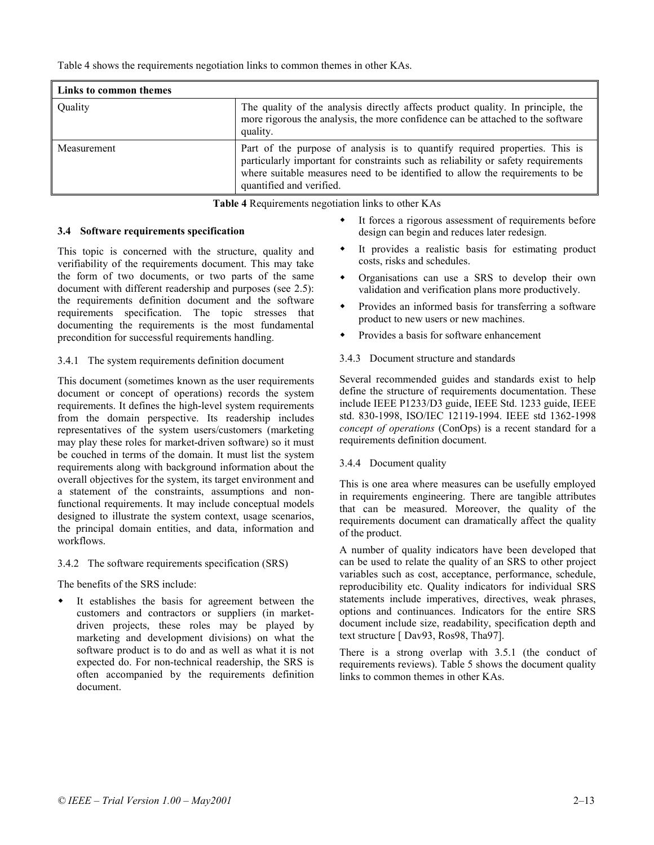Table 4 shows the requirements negotiation links to common themes in other KAs.

| Links to common themes |                                                                                                                                                                                                                                                                               |
|------------------------|-------------------------------------------------------------------------------------------------------------------------------------------------------------------------------------------------------------------------------------------------------------------------------|
| Quality                | The quality of the analysis directly affects product quality. In principle, the<br>more rigorous the analysis, the more confidence can be attached to the software<br>quality.                                                                                                |
| Measurement            | Part of the purpose of analysis is to quantify required properties. This is<br>particularly important for constraints such as reliability or safety requirements<br>where suitable measures need to be identified to allow the requirements to be<br>quantified and verified. |

**Table 4** Requirements negotiation links to other KAs

## **3.4 Software requirements specification**

This topic is concerned with the structure, quality and verifiability of the requirements document. This may take the form of two documents, or two parts of the same document with different readership and purposes (see 2.5): the requirements definition document and the software requirements specification. The topic stresses that documenting the requirements is the most fundamental precondition for successful requirements handling.

## 3.4.1 The system requirements definition document

This document (sometimes known as the user requirements document or concept of operations) records the system requirements. It defines the high-level system requirements from the domain perspective. Its readership includes representatives of the system users/customers (marketing may play these roles for market-driven software) so it must be couched in terms of the domain. It must list the system requirements along with background information about the overall objectives for the system, its target environment and a statement of the constraints, assumptions and nonfunctional requirements. It may include conceptual models designed to illustrate the system context, usage scenarios, the principal domain entities, and data, information and workflows.

## 3.4.2 The software requirements specification (SRS)

The benefits of the SRS include:

 It establishes the basis for agreement between the customers and contractors or suppliers (in marketdriven projects, these roles may be played by marketing and development divisions) on what the software product is to do and as well as what it is not expected do. For non-technical readership, the SRS is often accompanied by the requirements definition document.

- It forces a rigorous assessment of requirements before design can begin and reduces later redesign.
- It provides a realistic basis for estimating product costs, risks and schedules.
- Organisations can use a SRS to develop their own validation and verification plans more productively.
- Provides an informed basis for transferring a software product to new users or new machines.
- Provides a basis for software enhancement
- 3.4.3 Document structure and standards

Several recommended guides and standards exist to help define the structure of requirements documentation. These include IEEE P1233/D3 guide, IEEE Std. 1233 guide, IEEE std. 830-1998, ISO/IEC 12119-1994. IEEE std 1362-1998 *concept of operations* (ConOps) is a recent standard for a requirements definition document.

# 3.4.4 Document quality

This is one area where measures can be usefully employed in requirements engineering. There are tangible attributes that can be measured. Moreover, the quality of the requirements document can dramatically affect the quality of the product.

A number of quality indicators have been developed that can be used to relate the quality of an SRS to other project variables such as cost, acceptance, performance, schedule, reproducibility etc. Quality indicators for individual SRS statements include imperatives, directives, weak phrases, options and continuances. Indicators for the entire SRS document include size, readability, specification depth and text structure [ Dav93, Ros98, Tha97].

There is a strong overlap with 3.5.1 (the conduct of requirements reviews). Table 5 shows the document quality links to common themes in other KAs.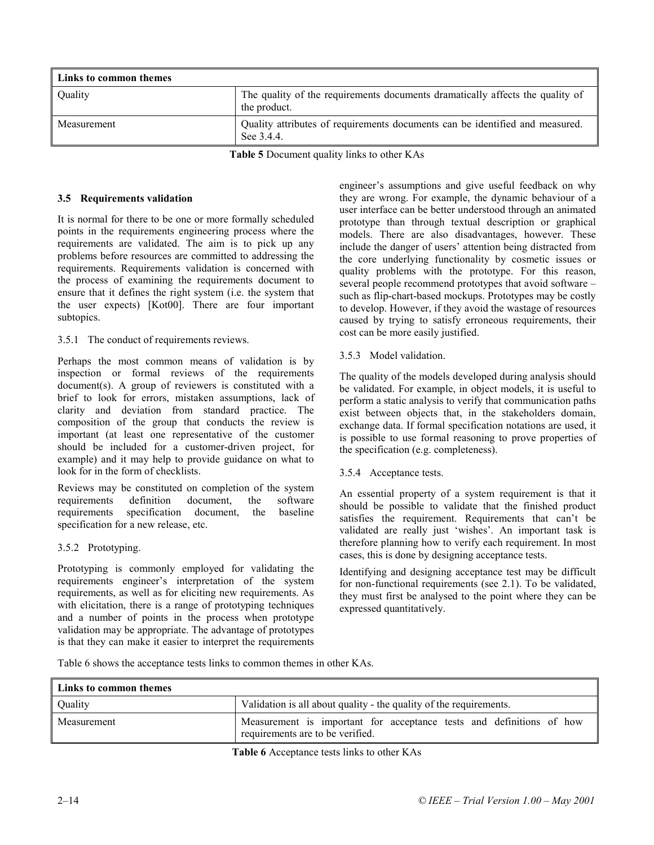| Links to common themes |                                                                                               |
|------------------------|-----------------------------------------------------------------------------------------------|
| Ouality                | The quality of the requirements documents dramatically affects the quality of<br>the product. |
| Measurement            | Quality attributes of requirements documents can be identified and measured.<br>See 3.4.4.    |
|                        |                                                                                               |

**Table 5** Document quality links to other KAs

## **3.5 Requirements validation**

It is normal for there to be one or more formally scheduled points in the requirements engineering process where the requirements are validated. The aim is to pick up any problems before resources are committed to addressing the requirements. Requirements validation is concerned with the process of examining the requirements document to ensure that it defines the right system (i.e. the system that the user expects) [Kot00]. There are four important subtopics.

3.5.1 The conduct of requirements reviews.

Perhaps the most common means of validation is by inspection or formal reviews of the requirements document(s). A group of reviewers is constituted with a brief to look for errors, mistaken assumptions, lack of clarity and deviation from standard practice. The composition of the group that conducts the review is important (at least one representative of the customer should be included for a customer-driven project, for example) and it may help to provide guidance on what to look for in the form of checklists.

Reviews may be constituted on completion of the system requirements definition document, the software requirements specification document, the baseline specification for a new release, etc.

## 3.5.2 Prototyping.

Prototyping is commonly employed for validating the requirements engineer's interpretation of the system requirements, as well as for eliciting new requirements. As with elicitation, there is a range of prototyping techniques and a number of points in the process when prototype validation may be appropriate. The advantage of prototypes is that they can make it easier to interpret the requirements

engineer's assumptions and give useful feedback on why they are wrong. For example, the dynamic behaviour of a user interface can be better understood through an animated prototype than through textual description or graphical models. There are also disadvantages, however. These include the danger of users' attention being distracted from the core underlying functionality by cosmetic issues or quality problems with the prototype. For this reason, several people recommend prototypes that avoid software – such as flip-chart-based mockups. Prototypes may be costly to develop. However, if they avoid the wastage of resources caused by trying to satisfy erroneous requirements, their cost can be more easily justified.

## 3.5.3 Model validation.

The quality of the models developed during analysis should be validated. For example, in object models, it is useful to perform a static analysis to verify that communication paths exist between objects that, in the stakeholders domain, exchange data. If formal specification notations are used, it is possible to use formal reasoning to prove properties of the specification (e.g. completeness).

## 3.5.4 Acceptance tests.

An essential property of a system requirement is that it should be possible to validate that the finished product satisfies the requirement. Requirements that can't be validated are really just 'wishes'. An important task is therefore planning how to verify each requirement. In most cases, this is done by designing acceptance tests.

Identifying and designing acceptance test may be difficult for non-functional requirements (see 2.1). To be validated, they must first be analysed to the point where they can be expressed quantitatively.

Table 6 shows the acceptance tests links to common themes in other KAs.

| Links to common themes |                                                                                                          |  |  |  |  |  |  |  |  |  |
|------------------------|----------------------------------------------------------------------------------------------------------|--|--|--|--|--|--|--|--|--|
| Quality                | Validation is all about quality - the quality of the requirements.                                       |  |  |  |  |  |  |  |  |  |
| Measurement            | Measurement is important for acceptance tests and definitions of how<br>requirements are to be verified. |  |  |  |  |  |  |  |  |  |

**Table 6** Acceptance tests links to other KAs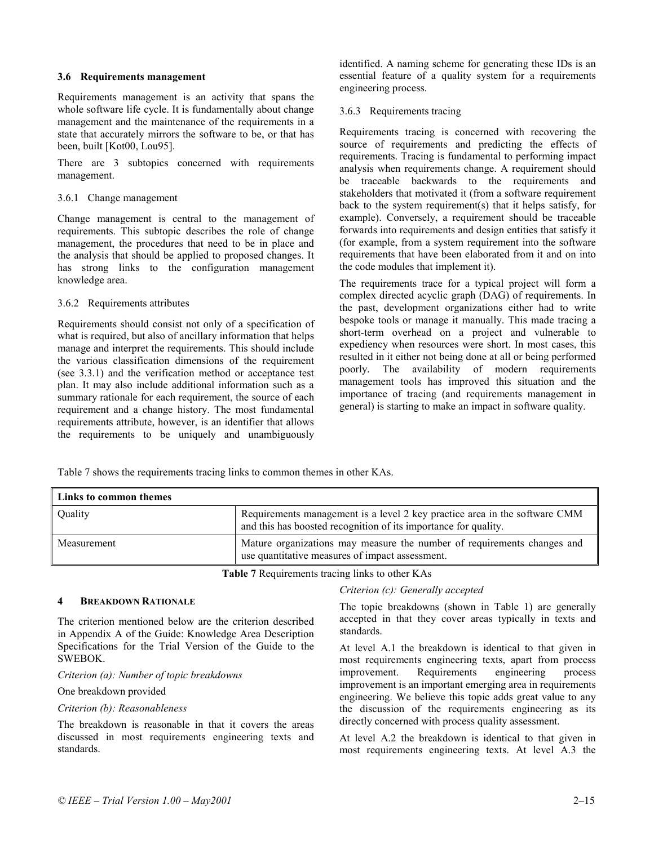## **3.6 Requirements management**

Requirements management is an activity that spans the whole software life cycle. It is fundamentally about change management and the maintenance of the requirements in a state that accurately mirrors the software to be, or that has been, built [Kot00, Lou95].

There are 3 subtopics concerned with requirements management.

#### 3.6.1 Change management

Change management is central to the management of requirements. This subtopic describes the role of change management, the procedures that need to be in place and the analysis that should be applied to proposed changes. It has strong links to the configuration management knowledge area.

## 3.6.2 Requirements attributes

Requirements should consist not only of a specification of what is required, but also of ancillary information that helps manage and interpret the requirements. This should include the various classification dimensions of the requirement (see 3.3.1) and the verification method or acceptance test plan. It may also include additional information such as a summary rationale for each requirement, the source of each requirement and a change history. The most fundamental requirements attribute, however, is an identifier that allows the requirements to be uniquely and unambiguously

identified. A naming scheme for generating these IDs is an essential feature of a quality system for a requirements engineering process.

#### 3.6.3 Requirements tracing

Requirements tracing is concerned with recovering the source of requirements and predicting the effects of requirements. Tracing is fundamental to performing impact analysis when requirements change. A requirement should be traceable backwards to the requirements and stakeholders that motivated it (from a software requirement back to the system requirement(s) that it helps satisfy, for example). Conversely, a requirement should be traceable forwards into requirements and design entities that satisfy it (for example, from a system requirement into the software requirements that have been elaborated from it and on into the code modules that implement it).

The requirements trace for a typical project will form a complex directed acyclic graph (DAG) of requirements. In the past, development organizations either had to write bespoke tools or manage it manually. This made tracing a short-term overhead on a project and vulnerable to expediency when resources were short. In most cases, this resulted in it either not being done at all or being performed poorly. The availability of modern requirements management tools has improved this situation and the importance of tracing (and requirements management in general) is starting to make an impact in software quality.

Table 7 shows the requirements tracing links to common themes in other KAs.

| <b>Links to common themes</b> |                                                                                                                                               |
|-------------------------------|-----------------------------------------------------------------------------------------------------------------------------------------------|
| Quality                       | Requirements management is a level 2 key practice area in the software CMM<br>and this has boosted recognition of its importance for quality. |
| Measurement                   | Mature organizations may measure the number of requirements changes and<br>use quantitative measures of impact assessment.                    |

**Table 7** Requirements tracing links to other KAs

## **4 BREAKDOWN RATIONALE**

The criterion mentioned below are the criterion described in Appendix A of the Guide: Knowledge Area Description Specifications for the Trial Version of the Guide to the SWEBOK.

*Criterion (a): Number of topic breakdowns* 

One breakdown provided

*Criterion (b): Reasonableness* 

The breakdown is reasonable in that it covers the areas discussed in most requirements engineering texts and standards.

*Criterion (c): Generally accepted* 

The topic breakdowns (shown in Table 1) are generally accepted in that they cover areas typically in texts and standards.

At level A.1 the breakdown is identical to that given in most requirements engineering texts, apart from process improvement. Requirements engineering process improvement is an important emerging area in requirements engineering. We believe this topic adds great value to any the discussion of the requirements engineering as its directly concerned with process quality assessment.

At level A.2 the breakdown is identical to that given in most requirements engineering texts. At level A.3 the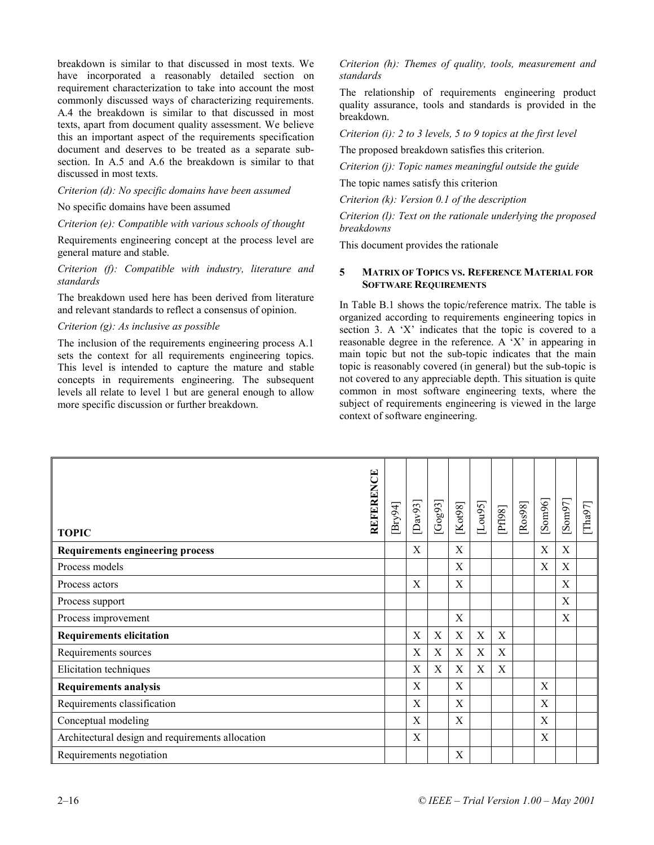breakdown is similar to that discussed in most texts. We have incorporated a reasonably detailed section on requirement characterization to take into account the most commonly discussed ways of characterizing requirements. A.4 the breakdown is similar to that discussed in most texts, apart from document quality assessment. We believe this an important aspect of the requirements specification document and deserves to be treated as a separate subsection. In A.5 and A.6 the breakdown is similar to that discussed in most texts.

*Criterion (d): No specific domains have been assumed* 

No specific domains have been assumed

*Criterion (e): Compatible with various schools of thought* 

Requirements engineering concept at the process level are general mature and stable.

*Criterion (f): Compatible with industry, literature and standards* 

The breakdown used here has been derived from literature and relevant standards to reflect a consensus of opinion.

*Criterion (g): As inclusive as possible* 

The inclusion of the requirements engineering process A.1 sets the context for all requirements engineering topics. This level is intended to capture the mature and stable concepts in requirements engineering. The subsequent levels all relate to level 1 but are general enough to allow more specific discussion or further breakdown.

*Criterion (h): Themes of quality, tools, measurement and standards* 

The relationship of requirements engineering product quality assurance, tools and standards is provided in the breakdown.

*Criterion (i): 2 to 3 levels, 5 to 9 topics at the first level* 

The proposed breakdown satisfies this criterion.

*Criterion (j): Topic names meaningful outside the guide* 

The topic names satisfy this criterion

*Criterion (k): Version 0.1 of the description* 

*Criterion (l): Text on the rationale underlying the proposed breakdowns* 

This document provides the rationale

#### **5 MATRIX OF TOPICS VS. REFERENCE MATERIAL FOR SOFTWARE REQUIREMENTS**

In Table B.1 shows the topic/reference matrix. The table is organized according to requirements engineering topics in section 3. A 'X' indicates that the topic is covered to a reasonable degree in the reference. A 'X' in appearing in main topic but not the sub-topic indicates that the main topic is reasonably covered (in general) but the sub-topic is not covered to any appreciable depth. This situation is quite common in most software engineering texts, where the subject of requirements engineering is viewed in the large context of software engineering.

| <b>TOPIC</b>                                     | REFERENCE | [ $By94$ ] | $[$ Dav93]                | [Ge93] | [Kot98]                   | [Long5] | $[Pf198]$ | [Ros98] | [Some6] | $[5 \text{cm} 97]$ | [Tha97] |
|--------------------------------------------------|-----------|------------|---------------------------|--------|---------------------------|---------|-----------|---------|---------|--------------------|---------|
| <b>Requirements engineering process</b>          |           |            | $\mathbf X$               |        | $\mathbf X$               |         |           |         | X       | X                  |         |
| Process models                                   |           |            |                           |        | $\boldsymbol{\mathrm{X}}$ |         |           |         | X       | X                  |         |
| Process actors                                   |           |            | X                         |        | X                         |         |           |         |         | X                  |         |
| Process support                                  |           |            |                           |        |                           |         |           |         |         | X                  |         |
| Process improvement                              |           |            |                           |        | X                         |         |           |         |         | X                  |         |
| <b>Requirements elicitation</b>                  |           |            | X                         | X      | $\boldsymbol{\mathrm{X}}$ | X       | X         |         |         |                    |         |
| Requirements sources                             |           |            | X                         | X      | X                         | X       | X         |         |         |                    |         |
| Elicitation techniques                           |           |            | X                         | X      | X                         | X       | X         |         |         |                    |         |
| <b>Requirements analysis</b>                     |           |            | $\boldsymbol{\mathrm{X}}$ |        | $\boldsymbol{\mathrm{X}}$ |         |           |         | X       |                    |         |
| Requirements classification                      |           |            | X                         |        | X                         |         |           |         | X       |                    |         |
| Conceptual modeling                              |           |            | X                         |        | X                         |         |           |         | X       |                    |         |
| Architectural design and requirements allocation |           |            | X                         |        |                           |         |           |         | X       |                    |         |
| Requirements negotiation                         |           |            |                           |        | X                         |         |           |         |         |                    |         |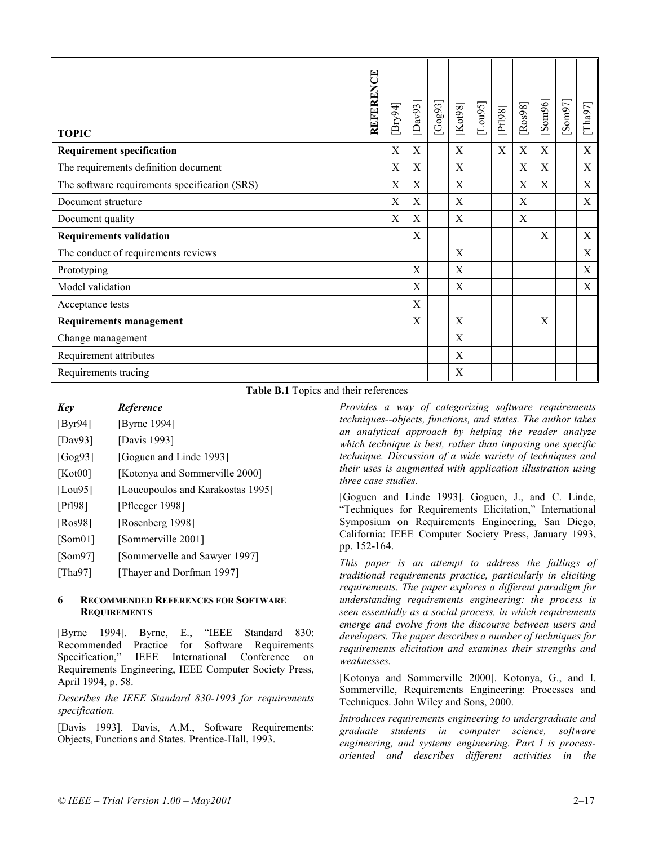| <b>TOPIC</b>                                  | REFERENCE | $[\mathrm{By94}]$         | [Dav93]                   | [ $Kot98$ ] | [Long5] | $[PH98]$ | [Ross98]                  | $[8 \text{om} 96]$ | [ $Som97$ ] | [Tha $97$ ] |
|-----------------------------------------------|-----------|---------------------------|---------------------------|-------------|---------|----------|---------------------------|--------------------|-------------|-------------|
| <b>Requirement specification</b>              |           | $\boldsymbol{\mathrm{X}}$ | $\boldsymbol{\mathrm{X}}$ | X           |         | X        | $\boldsymbol{\mathrm{X}}$ | X                  |             | $\mathbf X$ |
| The requirements definition document          |           | X                         | $\mathbf X$               | X           |         |          | X                         | X                  |             | X           |
| The software requirements specification (SRS) |           | X                         | X                         | X           |         |          | X                         | X                  |             | X           |
| Document structure                            |           | $\boldsymbol{\mathrm{X}}$ | $\mathbf X$               | X           |         |          | X                         |                    |             | X           |
| Document quality                              |           | X                         | X                         | X           |         |          | X                         |                    |             |             |
| <b>Requirements validation</b>                |           |                           | $\mathbf X$               |             |         |          |                           | X                  |             | $\mathbf X$ |
| The conduct of requirements reviews           |           |                           |                           | X           |         |          |                           |                    |             | X           |
| Prototyping                                   |           |                           | X                         | X           |         |          |                           |                    |             | $\mathbf X$ |
| Model validation                              |           |                           | X                         | X           |         |          |                           |                    |             | X           |
| Acceptance tests                              |           |                           | X                         |             |         |          |                           |                    |             |             |
| <b>Requirements management</b>                |           |                           | X                         | X           |         |          |                           | X                  |             |             |
| Change management                             |           |                           |                           | X           |         |          |                           |                    |             |             |
| Requirement attributes                        |           |                           |                           | X           |         |          |                           |                    |             |             |
| Requirements tracing                          |           |                           |                           | X           |         |          |                           |                    |             |             |

**Table B.1** Topics and their references

## *Key Reference*

- [Byr94] [Byrne 1994]
- [Dav93] [Davis 1993]
- [Gog93] [Goguen and Linde 1993]
- [Kot00] [Kotonya and Sommerville 2000]
- [Lou95] [Loucopoulos and Karakostas 1995]
- [Pfl98] [Pfleeger 1998]
- [Ros98] [Rosenberg 1998]
- [Som01] [Sommerville 2001]
- [Som97] [Sommervelle and Sawyer 1997]
- [Tha97] [Thayer and Dorfman 1997]

#### **6 RECOMMENDED REFERENCES FOR SOFTWARE REQUIREMENTS**

[Byrne 1994]. Byrne, E., "IEEE Standard 830: Recommended Practice for Software Requirements Specification," IEEE International Conference on Requirements Engineering, IEEE Computer Society Press, April 1994, p. 58.

*Describes the IEEE Standard 830-1993 for requirements specification.* 

[Davis 1993]. Davis, A.M., Software Requirements: Objects, Functions and States. Prentice-Hall, 1993.

*Provides a way of categorizing software requirements techniques--objects, functions, and states. The author takes an analytical approach by helping the reader analyze which technique is best, rather than imposing one specific technique. Discussion of a wide variety of techniques and their uses is augmented with application illustration using three case studies.* 

[Goguen and Linde 1993]. Goguen, J., and C. Linde, "Techniques for Requirements Elicitation," International Symposium on Requirements Engineering, San Diego, California: IEEE Computer Society Press, January 1993, pp. 152-164.

*This paper is an attempt to address the failings of traditional requirements practice, particularly in eliciting requirements. The paper explores a different paradigm for understanding requirements engineering: the process is seen essentially as a social process, in which requirements emerge and evolve from the discourse between users and developers. The paper describes a number of techniques for requirements elicitation and examines their strengths and weaknesses.* 

[Kotonya and Sommerville 2000]. Kotonya, G., and I. Sommerville, Requirements Engineering: Processes and Techniques. John Wiley and Sons, 2000.

*Introduces requirements engineering to undergraduate and graduate students in computer science, software engineering, and systems engineering. Part I is processoriented and describes different activities in the*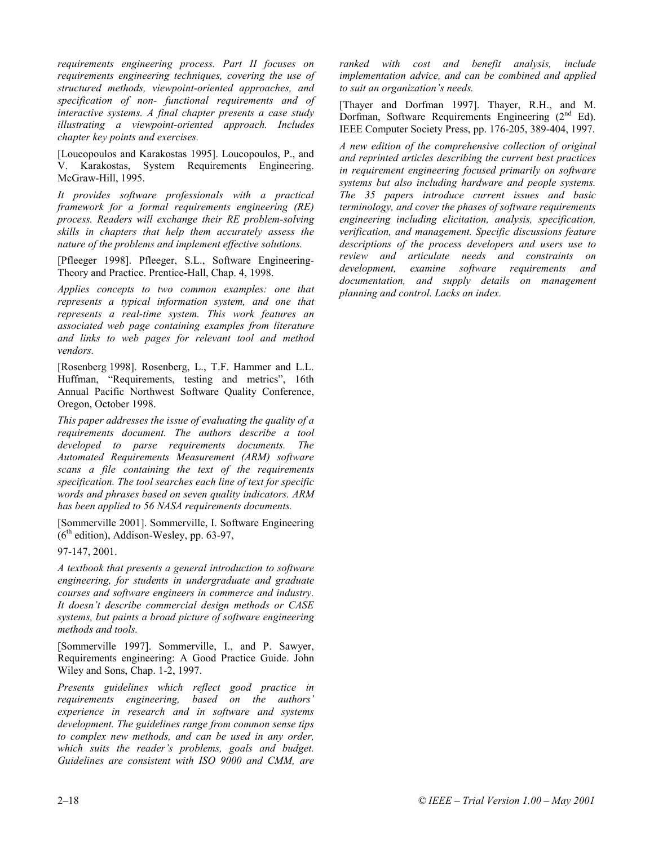*requirements engineering process. Part II focuses on requirements engineering techniques, covering the use of structured methods, viewpoint-oriented approaches, and specification of non- functional requirements and of interactive systems. A final chapter presents a case study illustrating a viewpoint-oriented approach. Includes chapter key points and exercises.*

[Loucopoulos and Karakostas 1995]. Loucopoulos, P., and V. Karakostas, System Requirements Engineering. McGraw-Hill, 1995.

*It provides software professionals with a practical framework for a formal requirements engineering (RE) process. Readers will exchange their RE problem-solving skills in chapters that help them accurately assess the nature of the problems and implement effective solutions.* 

[Pfleeger 1998]. Pfleeger, S.L., Software Engineering-Theory and Practice. Prentice-Hall, Chap. 4, 1998.

*Applies concepts to two common examples: one that represents a typical information system, and one that represents a real-time system. This work features an associated web page containing examples from literature and links to web pages for relevant tool and method vendors.* 

[Rosenberg 1998]. Rosenberg, L., T.F. Hammer and L.L. Huffman, "Requirements, testing and metrics", 16th Annual Pacific Northwest Software Quality Conference, Oregon, October 1998.

*This paper addresses the issue of evaluating the quality of a requirements document. The authors describe a tool developed to parse requirements documents. The Automated Requirements Measurement (ARM) software scans a file containing the text of the requirements specification. The tool searches each line of text for specific words and phrases based on seven quality indicators. ARM has been applied to 56 NASA requirements documents.* 

[Sommerville 2001]. Sommerville, I. Software Engineering  $(6<sup>th</sup> edition)$ , Addison-Wesley, pp. 63-97,

97-147, 2001.

*A textbook that presents a general introduction to software engineering, for students in undergraduate and graduate courses and software engineers in commerce and industry. It doesn't describe commercial design methods or CASE systems, but paints a broad picture of software engineering methods and tools.* 

[Sommerville 1997]. Sommerville, I., and P. Sawyer, Requirements engineering: A Good Practice Guide. John Wiley and Sons, Chap. 1-2, 1997.

*Presents guidelines which reflect good practice in requirements engineering, based on the authors' experience in research and in software and systems development. The guidelines range from common sense tips to complex new methods, and can be used in any order, which suits the reader's problems, goals and budget. Guidelines are consistent with ISO 9000 and CMM, are*  *ranked with cost and benefit analysis, include implementation advice, and can be combined and applied to suit an organization's needs.* 

[Thayer and Dorfman 1997]. Thayer, R.H., and M. Dorfman, Software Requirements Engineering  $(2<sup>nd</sup> Ed)$ . IEEE Computer Society Press, pp. 176-205, 389-404, 1997.

*A new edition of the comprehensive collection of original and reprinted articles describing the current best practices in requirement engineering focused primarily on software systems but also including hardware and people systems. The 35 papers introduce current issues and basic terminology, and cover the phases of software requirements engineering including elicitation, analysis, specification, verification, and management. Specific discussions feature descriptions of the process developers and users use to review and articulate needs and constraints on development, examine software requirements and documentation, and supply details on management planning and control. Lacks an index.*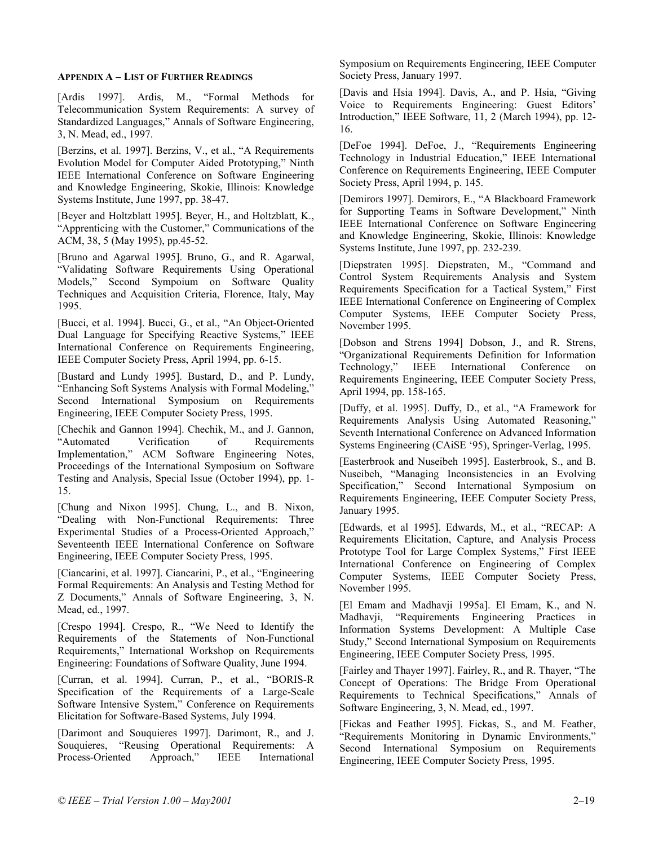#### **APPENDIX A – LIST OF FURTHER READINGS**

[Ardis 1997]. Ardis, M., "Formal Methods for Telecommunication System Requirements: A survey of Standardized Languages," Annals of Software Engineering, 3, N. Mead, ed., 1997.

[Berzins, et al. 1997]. Berzins, V., et al., "A Requirements Evolution Model for Computer Aided Prototyping," Ninth IEEE International Conference on Software Engineering and Knowledge Engineering, Skokie, Illinois: Knowledge Systems Institute, June 1997, pp. 38-47.

[Beyer and Holtzblatt 1995]. Beyer, H., and Holtzblatt, K., "Apprenticing with the Customer," Communications of the ACM, 38, 5 (May 1995), pp.45-52.

[Bruno and Agarwal 1995]. Bruno, G., and R. Agarwal, "Validating Software Requirements Using Operational Models," Second Sympoium on Software Quality Techniques and Acquisition Criteria, Florence, Italy, May 1995.

[Bucci, et al. 1994]. Bucci, G., et al., "An Object-Oriented Dual Language for Specifying Reactive Systems," IEEE International Conference on Requirements Engineering, IEEE Computer Society Press, April 1994, pp. 6-15.

[Bustard and Lundy 1995]. Bustard, D., and P. Lundy, "Enhancing Soft Systems Analysis with Formal Modeling," Second International Symposium on Requirements Engineering, IEEE Computer Society Press, 1995.

[Chechik and Gannon 1994]. Chechik, M., and J. Gannon, "Automated Verification of Requirements Implementation," ACM Software Engineering Notes, Proceedings of the International Symposium on Software Testing and Analysis, Special Issue (October 1994), pp. 1- 15.

[Chung and Nixon 1995]. Chung, L., and B. Nixon, "Dealing with Non-Functional Requirements: Three Experimental Studies of a Process-Oriented Approach," Seventeenth IEEE International Conference on Software Engineering, IEEE Computer Society Press, 1995.

[Ciancarini, et al. 1997]. Ciancarini, P., et al., "Engineering Formal Requirements: An Analysis and Testing Method for Z Documents," Annals of Software Engineering, 3, N. Mead, ed., 1997.

[Crespo 1994]. Crespo, R., "We Need to Identify the Requirements of the Statements of Non-Functional Requirements," International Workshop on Requirements Engineering: Foundations of Software Quality, June 1994.

[Curran, et al. 1994]. Curran, P., et al., "BORIS-R Specification of the Requirements of a Large-Scale Software Intensive System," Conference on Requirements Elicitation for Software-Based Systems, July 1994.

[Darimont and Souquieres 1997]. Darimont, R., and J. Souquieres, "Reusing Operational Requirements: A Process-Oriented Approach," IEEE International

Symposium on Requirements Engineering, IEEE Computer Society Press, January 1997.

[Davis and Hsia 1994]. Davis, A., and P. Hsia, "Giving Voice to Requirements Engineering: Guest Editors' Introduction," IEEE Software, 11, 2 (March 1994), pp. 12- 16.

[DeFoe 1994]. DeFoe, J., "Requirements Engineering Technology in Industrial Education," IEEE International Conference on Requirements Engineering, IEEE Computer Society Press, April 1994, p. 145.

[Demirors 1997]. Demirors, E., "A Blackboard Framework for Supporting Teams in Software Development," Ninth IEEE International Conference on Software Engineering and Knowledge Engineering, Skokie, Illinois: Knowledge Systems Institute, June 1997, pp. 232-239.

[Diepstraten 1995]. Diepstraten, M., "Command and Control System Requirements Analysis and System Requirements Specification for a Tactical System," First IEEE International Conference on Engineering of Complex Computer Systems, IEEE Computer Society Press, November 1995.

[Dobson and Strens 1994] Dobson, J., and R. Strens, "Organizational Requirements Definition for Information Technology," IEEE International Conference on Requirements Engineering, IEEE Computer Society Press, April 1994, pp. 158-165.

[Duffy, et al. 1995]. Duffy, D., et al., "A Framework for Requirements Analysis Using Automated Reasoning," Seventh International Conference on Advanced Information Systems Engineering (CAiSE '95), Springer-Verlag, 1995.

[Easterbrook and Nuseibeh 1995]. Easterbrook, S., and B. Nuseibeh, "Managing Inconsistencies in an Evolving Specification," Second International Symposium on Requirements Engineering, IEEE Computer Society Press, January 1995.

[Edwards, et al 1995]. Edwards, M., et al., "RECAP: A Requirements Elicitation, Capture, and Analysis Process Prototype Tool for Large Complex Systems," First IEEE International Conference on Engineering of Complex Computer Systems, IEEE Computer Society Press, November 1995.

[El Emam and Madhavji 1995a]. El Emam, K., and N. Madhavji, "Requirements Engineering Practices in Information Systems Development: A Multiple Case Study," Second International Symposium on Requirements Engineering, IEEE Computer Society Press, 1995.

[Fairley and Thayer 1997]. Fairley, R., and R. Thayer, "The Concept of Operations: The Bridge From Operational Requirements to Technical Specifications," Annals of Software Engineering, 3, N. Mead, ed., 1997.

[Fickas and Feather 1995]. Fickas, S., and M. Feather, "Requirements Monitoring in Dynamic Environments," Second International Symposium on Requirements Engineering, IEEE Computer Society Press, 1995.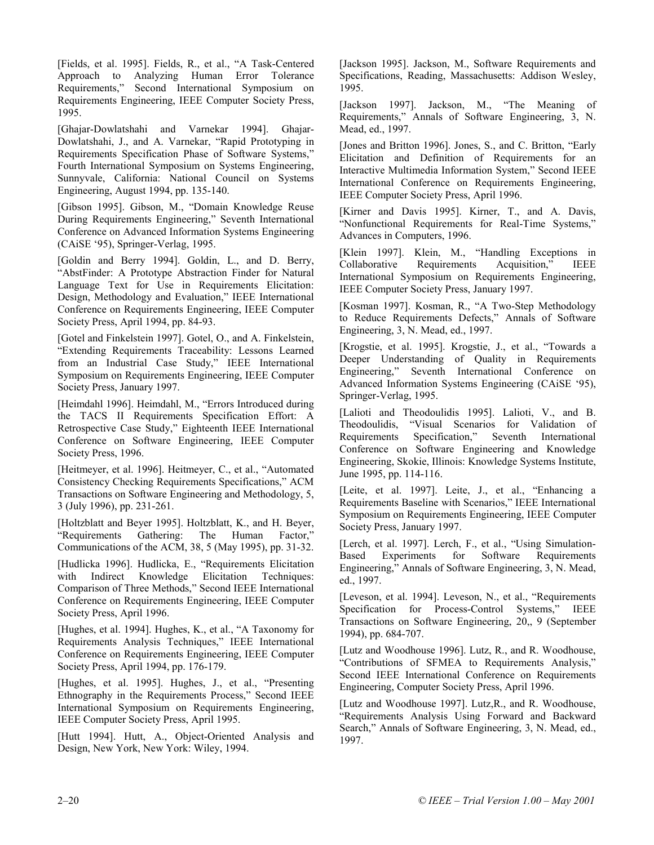[Fields, et al. 1995]. Fields, R., et al., "A Task-Centered Approach to Analyzing Human Error Tolerance Requirements," Second International Symposium on Requirements Engineering, IEEE Computer Society Press, 1995.

[Ghajar-Dowlatshahi and Varnekar 1994]. Ghajar-Dowlatshahi, J., and A. Varnekar, "Rapid Prototyping in Requirements Specification Phase of Software Systems," Fourth International Symposium on Systems Engineering, Sunnyvale, California: National Council on Systems Engineering, August 1994, pp. 135-140.

[Gibson 1995]. Gibson, M., "Domain Knowledge Reuse During Requirements Engineering," Seventh International Conference on Advanced Information Systems Engineering (CAiSE '95), Springer-Verlag, 1995.

[Goldin and Berry 1994]. Goldin, L., and D. Berry, "AbstFinder: A Prototype Abstraction Finder for Natural Language Text for Use in Requirements Elicitation: Design, Methodology and Evaluation," IEEE International Conference on Requirements Engineering, IEEE Computer Society Press, April 1994, pp. 84-93.

[Gotel and Finkelstein 1997]. Gotel, O., and A. Finkelstein, "Extending Requirements Traceability: Lessons Learned from an Industrial Case Study," IEEE International Symposium on Requirements Engineering, IEEE Computer Society Press, January 1997.

[Heimdahl 1996]. Heimdahl, M., "Errors Introduced during the TACS II Requirements Specification Effort: A Retrospective Case Study," Eighteenth IEEE International Conference on Software Engineering, IEEE Computer Society Press, 1996.

[Heitmeyer, et al. 1996]. Heitmeyer, C., et al., "Automated Consistency Checking Requirements Specifications," ACM Transactions on Software Engineering and Methodology, 5, 3 (July 1996), pp. 231-261.

[Holtzblatt and Beyer 1995]. Holtzblatt, K., and H. Beyer, "Requirements Gathering: The Human Factor," Communications of the ACM, 38, 5 (May 1995), pp. 31-32.

[Hudlicka 1996]. Hudlicka, E., "Requirements Elicitation with Indirect Knowledge Elicitation Techniques: Comparison of Three Methods," Second IEEE International Conference on Requirements Engineering, IEEE Computer Society Press, April 1996.

[Hughes, et al. 1994]. Hughes, K., et al., "A Taxonomy for Requirements Analysis Techniques," IEEE International Conference on Requirements Engineering, IEEE Computer Society Press, April 1994, pp. 176-179.

[Hughes, et al. 1995]. Hughes, J., et al., "Presenting Ethnography in the Requirements Process," Second IEEE International Symposium on Requirements Engineering, IEEE Computer Society Press, April 1995.

[Hutt 1994]. Hutt, A., Object-Oriented Analysis and Design, New York, New York: Wiley, 1994.

[Jackson 1995]. Jackson, M., Software Requirements and Specifications, Reading, Massachusetts: Addison Wesley, 1995.

[Jackson 1997]. Jackson, M., "The Meaning of Requirements," Annals of Software Engineering, 3, N. Mead, ed., 1997.

[Jones and Britton 1996]. Jones, S., and C. Britton, "Early Elicitation and Definition of Requirements for an Interactive Multimedia Information System," Second IEEE International Conference on Requirements Engineering, IEEE Computer Society Press, April 1996.

[Kirner and Davis 1995]. Kirner, T., and A. Davis, "Nonfunctional Requirements for Real-Time Systems," Advances in Computers, 1996.

[Klein 1997]. Klein, M., "Handling Exceptions in Collaborative Requirements Acquisition," IEEE International Symposium on Requirements Engineering, IEEE Computer Society Press, January 1997.

[Kosman 1997]. Kosman, R., "A Two-Step Methodology to Reduce Requirements Defects," Annals of Software Engineering, 3, N. Mead, ed., 1997.

[Krogstie, et al. 1995]. Krogstie, J., et al., "Towards a Deeper Understanding of Quality in Requirements Engineering," Seventh International Conference on Advanced Information Systems Engineering (CAiSE '95), Springer-Verlag, 1995.

[Lalioti and Theodoulidis 1995]. Lalioti, V., and B. Theodoulidis, "Visual Scenarios for Validation of Requirements Specification," Seventh International Conference on Software Engineering and Knowledge Engineering, Skokie, Illinois: Knowledge Systems Institute, June 1995, pp. 114-116.

[Leite, et al. 1997]. Leite, J., et al., "Enhancing a Requirements Baseline with Scenarios," IEEE International Symposium on Requirements Engineering, IEEE Computer Society Press, January 1997.

[Lerch, et al. 1997]. Lerch, F., et al., "Using Simulation-Based Experiments for Software Requirements Engineering," Annals of Software Engineering, 3, N. Mead, ed., 1997.

[Leveson, et al. 1994]. Leveson, N., et al., "Requirements Specification for Process-Control Systems," IEEE Transactions on Software Engineering, 20,, 9 (September 1994), pp. 684-707.

[Lutz and Woodhouse 1996]. Lutz, R., and R. Woodhouse, "Contributions of SFMEA to Requirements Analysis," Second IEEE International Conference on Requirements Engineering, Computer Society Press, April 1996.

[Lutz and Woodhouse 1997]. Lutz,R., and R. Woodhouse, "Requirements Analysis Using Forward and Backward Search," Annals of Software Engineering, 3, N. Mead, ed., 1997.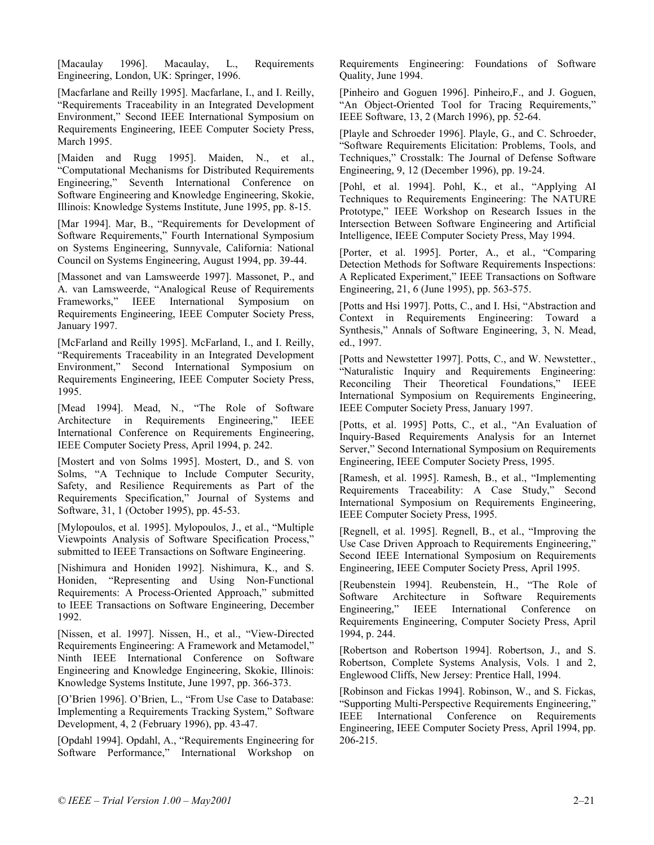[Macaulay 1996]. Macaulay, L., Requirements Engineering, London, UK: Springer, 1996.

[Macfarlane and Reilly 1995]. Macfarlane, I., and I. Reilly, "Requirements Traceability in an Integrated Development Environment," Second IEEE International Symposium on Requirements Engineering, IEEE Computer Society Press, March 1995.

[Maiden and Rugg 1995]. Maiden, N., et al., "Computational Mechanisms for Distributed Requirements Engineering," Seventh International Conference on Software Engineering and Knowledge Engineering, Skokie, Illinois: Knowledge Systems Institute, June 1995, pp. 8-15.

[Mar 1994]. Mar, B., "Requirements for Development of Software Requirements," Fourth International Symposium on Systems Engineering, Sunnyvale, California: National Council on Systems Engineering, August 1994, pp. 39-44.

[Massonet and van Lamsweerde 1997]. Massonet, P., and A. van Lamsweerde, "Analogical Reuse of Requirements Frameworks," IEEE International Symposium on Requirements Engineering, IEEE Computer Society Press, January 1997.

[McFarland and Reilly 1995]. McFarland, I., and I. Reilly, "Requirements Traceability in an Integrated Development Environment," Second International Symposium on Requirements Engineering, IEEE Computer Society Press, 1995.

[Mead 1994]. Mead, N., "The Role of Software Architecture in Requirements Engineering," IEEE International Conference on Requirements Engineering, IEEE Computer Society Press, April 1994, p. 242.

[Mostert and von Solms 1995]. Mostert, D., and S. von Solms, "A Technique to Include Computer Security, Safety, and Resilience Requirements as Part of the Requirements Specification," Journal of Systems and Software, 31, 1 (October 1995), pp. 45-53.

[Mylopoulos, et al. 1995]. Mylopoulos, J., et al., "Multiple Viewpoints Analysis of Software Specification Process," submitted to IEEE Transactions on Software Engineering.

[Nishimura and Honiden 1992]. Nishimura, K., and S. Honiden, "Representing and Using Non-Functional Requirements: A Process-Oriented Approach," submitted to IEEE Transactions on Software Engineering, December 1992.

[Nissen, et al. 1997]. Nissen, H., et al., "View-Directed Requirements Engineering: A Framework and Metamodel," Ninth IEEE International Conference on Software Engineering and Knowledge Engineering, Skokie, Illinois: Knowledge Systems Institute, June 1997, pp. 366-373.

[O'Brien 1996]. O'Brien, L., "From Use Case to Database: Implementing a Requirements Tracking System," Software Development, 4, 2 (February 1996), pp. 43-47.

[Opdahl 1994]. Opdahl, A., "Requirements Engineering for Software Performance," International Workshop on Requirements Engineering: Foundations of Software Quality, June 1994.

[Pinheiro and Goguen 1996]. Pinheiro,F., and J. Goguen, "An Object-Oriented Tool for Tracing Requirements," IEEE Software, 13, 2 (March 1996), pp. 52-64.

[Playle and Schroeder 1996]. Playle, G., and C. Schroeder, "Software Requirements Elicitation: Problems, Tools, and Techniques," Crosstalk: The Journal of Defense Software Engineering, 9, 12 (December 1996), pp. 19-24.

[Pohl, et al. 1994]. Pohl, K., et al., "Applying AI Techniques to Requirements Engineering: The NATURE Prototype," IEEE Workshop on Research Issues in the Intersection Between Software Engineering and Artificial Intelligence, IEEE Computer Society Press, May 1994.

[Porter, et al. 1995]. Porter, A., et al., "Comparing Detection Methods for Software Requirements Inspections: A Replicated Experiment," IEEE Transactions on Software Engineering, 21, 6 (June 1995), pp. 563-575.

[Potts and Hsi 1997]. Potts, C., and I. Hsi, "Abstraction and Context in Requirements Engineering: Toward a Synthesis," Annals of Software Engineering, 3, N. Mead, ed., 1997.

[Potts and Newstetter 1997]. Potts, C., and W. Newstetter., "Naturalistic Inquiry and Requirements Engineering: Reconciling Their Theoretical Foundations," IEEE International Symposium on Requirements Engineering, IEEE Computer Society Press, January 1997.

[Potts, et al. 1995] Potts, C., et al., "An Evaluation of Inquiry-Based Requirements Analysis for an Internet Server," Second International Symposium on Requirements Engineering, IEEE Computer Society Press, 1995.

[Ramesh, et al. 1995]. Ramesh, B., et al., "Implementing Requirements Traceability: A Case Study," Second International Symposium on Requirements Engineering, IEEE Computer Society Press, 1995.

[Regnell, et al. 1995]. Regnell, B., et al., "Improving the Use Case Driven Approach to Requirements Engineering," Second IEEE International Symposium on Requirements Engineering, IEEE Computer Society Press, April 1995.

[Reubenstein 1994]. Reubenstein, H., "The Role of Software Architecture in Software Requirements Engineering," IEEE International Conference on Requirements Engineering, Computer Society Press, April 1994, p. 244.

[Robertson and Robertson 1994]. Robertson, J., and S. Robertson, Complete Systems Analysis, Vols. 1 and 2, Englewood Cliffs, New Jersey: Prentice Hall, 1994.

[Robinson and Fickas 1994]. Robinson, W., and S. Fickas, "Supporting Multi-Perspective Requirements Engineering," IEEE International Conference on Requirements Engineering, IEEE Computer Society Press, April 1994, pp. 206-215.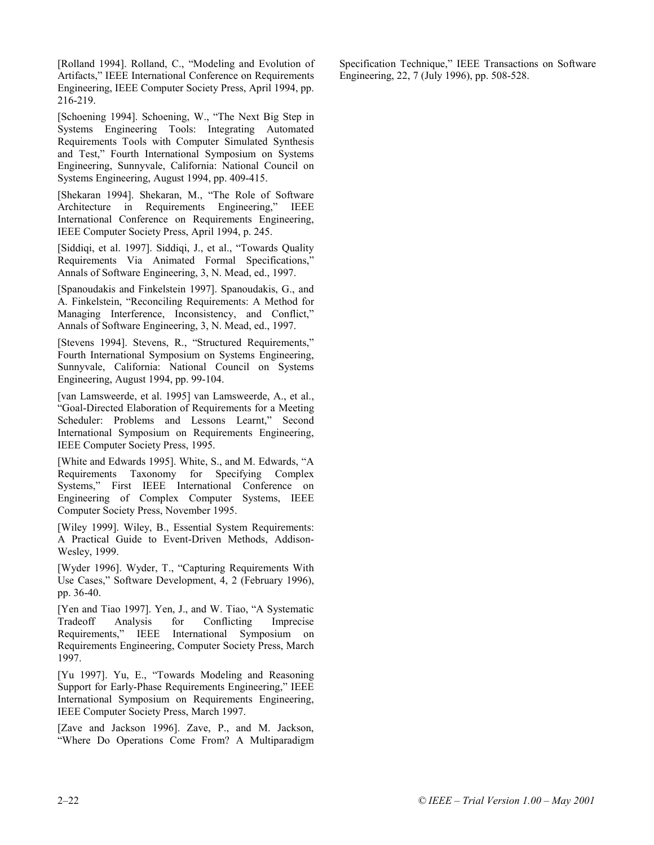[Rolland 1994]. Rolland, C., "Modeling and Evolution of Artifacts," IEEE International Conference on Requirements Engineering, IEEE Computer Society Press, April 1994, pp. 216-219.

[Schoening 1994]. Schoening, W., "The Next Big Step in Systems Engineering Tools: Integrating Automated Requirements Tools with Computer Simulated Synthesis and Test," Fourth International Symposium on Systems Engineering, Sunnyvale, California: National Council on Systems Engineering, August 1994, pp. 409-415.

[Shekaran 1994]. Shekaran, M., "The Role of Software Architecture in Requirements Engineering," IEEE International Conference on Requirements Engineering, IEEE Computer Society Press, April 1994, p. 245.

[Siddiqi, et al. 1997]. Siddiqi, J., et al., "Towards Quality Requirements Via Animated Formal Specifications," Annals of Software Engineering, 3, N. Mead, ed., 1997.

[Spanoudakis and Finkelstein 1997]. Spanoudakis, G., and A. Finkelstein, "Reconciling Requirements: A Method for Managing Interference, Inconsistency, and Conflict," Annals of Software Engineering, 3, N. Mead, ed., 1997.

[Stevens 1994]. Stevens, R., "Structured Requirements," Fourth International Symposium on Systems Engineering, Sunnyvale, California: National Council on Systems Engineering, August 1994, pp. 99-104.

[van Lamsweerde, et al. 1995] van Lamsweerde, A., et al., "Goal-Directed Elaboration of Requirements for a Meeting Scheduler: Problems and Lessons Learnt," Second International Symposium on Requirements Engineering, IEEE Computer Society Press, 1995.

[White and Edwards 1995]. White, S., and M. Edwards, "A Requirements Taxonomy for Specifying Complex Systems," First IEEE International Conference on Engineering of Complex Computer Systems, IEEE Computer Society Press, November 1995.

[Wiley 1999]. Wiley, B., Essential System Requirements: A Practical Guide to Event-Driven Methods, Addison-Wesley, 1999.

[Wyder 1996]. Wyder, T., "Capturing Requirements With Use Cases," Software Development, 4, 2 (February 1996), pp. 36-40.

[Yen and Tiao 1997]. Yen, J., and W. Tiao, "A Systematic Tradeoff Analysis for Conflicting Imprecise Requirements," IEEE International Symposium on Requirements Engineering, Computer Society Press, March 1997.

[Yu 1997]. Yu, E., "Towards Modeling and Reasoning Support for Early-Phase Requirements Engineering," IEEE International Symposium on Requirements Engineering, IEEE Computer Society Press, March 1997.

[Zave and Jackson 1996]. Zave, P., and M. Jackson, "Where Do Operations Come From? A Multiparadigm Specification Technique," IEEE Transactions on Software Engineering, 22, 7 (July 1996), pp. 508-528.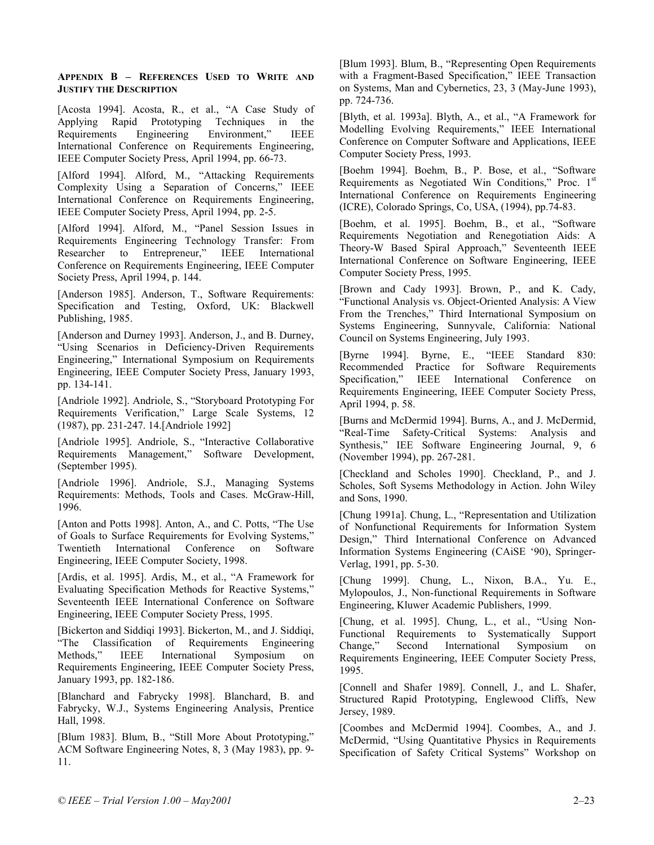#### **APPENDIX B – REFERENCES USED TO WRITE AND JUSTIFY THE DESCRIPTION**

[Acosta 1994]. Acosta, R., et al., "A Case Study of Applying Rapid Prototyping Techniques in the Requirements Engineering Environment," IEEE International Conference on Requirements Engineering, IEEE Computer Society Press, April 1994, pp. 66-73.

[Alford 1994]. Alford, M., "Attacking Requirements Complexity Using a Separation of Concerns," IEEE International Conference on Requirements Engineering, IEEE Computer Society Press, April 1994, pp. 2-5.

[Alford 1994]. Alford, M., "Panel Session Issues in Requirements Engineering Technology Transfer: From Researcher to Entrepreneur," IEEE International Conference on Requirements Engineering, IEEE Computer Society Press, April 1994, p. 144.

[Anderson 1985]. Anderson, T., Software Requirements: Specification and Testing, Oxford, UK: Blackwell Publishing, 1985.

[Anderson and Durney 1993]. Anderson, J., and B. Durney, "Using Scenarios in Deficiency-Driven Requirements Engineering," International Symposium on Requirements Engineering, IEEE Computer Society Press, January 1993, pp. 134-141.

[Andriole 1992]. Andriole, S., "Storyboard Prototyping For Requirements Verification," Large Scale Systems, 12 (1987), pp. 231-247. 14.[Andriole 1992]

[Andriole 1995]. Andriole, S., "Interactive Collaborative Requirements Management," Software Development, (September 1995).

[Andriole 1996]. Andriole, S.J., Managing Systems Requirements: Methods, Tools and Cases. McGraw-Hill, 1996.

[Anton and Potts 1998]. Anton, A., and C. Potts, "The Use of Goals to Surface Requirements for Evolving Systems," Twentieth International Conference on Software Engineering, IEEE Computer Society, 1998.

[Ardis, et al. 1995]. Ardis, M., et al., "A Framework for Evaluating Specification Methods for Reactive Systems," Seventeenth IEEE International Conference on Software Engineering, IEEE Computer Society Press, 1995.

[Bickerton and Siddiqi 1993]. Bickerton, M., and J. Siddiqi, "The Classification of Requirements Engineering Methods," IEEE International Symposium on Requirements Engineering, IEEE Computer Society Press, January 1993, pp. 182-186.

[Blanchard and Fabrycky 1998]. Blanchard, B. and Fabrycky, W.J., Systems Engineering Analysis, Prentice Hall, 1998.

[Blum 1983]. Blum, B., "Still More About Prototyping," ACM Software Engineering Notes, 8, 3 (May 1983), pp. 9- 11.

[Blum 1993]. Blum, B., "Representing Open Requirements with a Fragment-Based Specification," IEEE Transaction on Systems, Man and Cybernetics, 23, 3 (May-June 1993), pp. 724-736.

[Blyth, et al. 1993a]. Blyth, A., et al., "A Framework for Modelling Evolving Requirements," IEEE International Conference on Computer Software and Applications, IEEE Computer Society Press, 1993.

[Boehm 1994]. Boehm, B., P. Bose, et al., "Software Requirements as Negotiated Win Conditions," Proc. 1st International Conference on Requirements Engineering (ICRE), Colorado Springs, Co, USA, (1994), pp.74-83.

[Boehm, et al. 1995]. Boehm, B., et al., "Software Requirements Negotiation and Renegotiation Aids: A Theory-W Based Spiral Approach," Seventeenth IEEE International Conference on Software Engineering, IEEE Computer Society Press, 1995.

[Brown and Cady 1993]. Brown, P., and K. Cady, "Functional Analysis vs. Object-Oriented Analysis: A View From the Trenches," Third International Symposium on Systems Engineering, Sunnyvale, California: National Council on Systems Engineering, July 1993.

[Byrne 1994]. Byrne, E., "IEEE Standard 830: Recommended Practice for Software Requirements Specification," IEEE International Conference on Requirements Engineering, IEEE Computer Society Press, April 1994, p. 58.

[Burns and McDermid 1994]. Burns, A., and J. McDermid, "Real-Time Safety-Critical Systems: Analysis and Synthesis," IEE Software Engineering Journal, 9, 6 (November 1994), pp. 267-281.

[Checkland and Scholes 1990]. Checkland, P., and J. Scholes, Soft Sysems Methodology in Action. John Wiley and Sons, 1990.

[Chung 1991a]. Chung, L., "Representation and Utilization of Nonfunctional Requirements for Information System Design," Third International Conference on Advanced Information Systems Engineering (CAiSE '90), Springer-Verlag, 1991, pp. 5-30.

[Chung 1999]. Chung, L., Nixon, B.A., Yu. E., Mylopoulos, J., Non-functional Requirements in Software Engineering, Kluwer Academic Publishers, 1999.

[Chung, et al. 1995]. Chung, L., et al., "Using Non-Functional Requirements to Systematically Support Change," Second International Symposium on Requirements Engineering, IEEE Computer Society Press, 1995.

[Connell and Shafer 1989]. Connell, J., and L. Shafer, Structured Rapid Prototyping, Englewood Cliffs, New Jersey, 1989.

[Coombes and McDermid 1994]. Coombes, A., and J. McDermid, "Using Quantitative Physics in Requirements Specification of Safety Critical Systems" Workshop on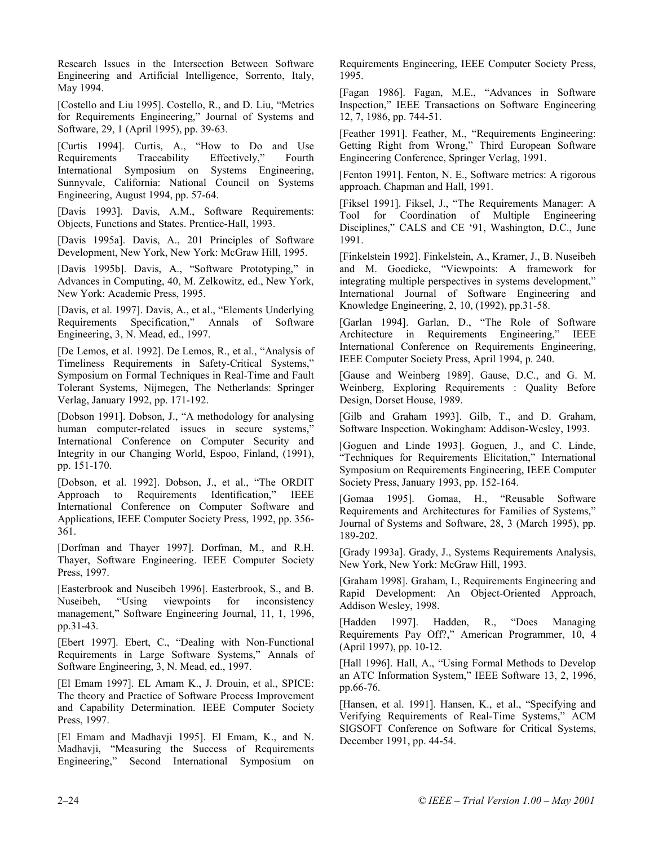Research Issues in the Intersection Between Software Engineering and Artificial Intelligence, Sorrento, Italy, May 1994.

[Costello and Liu 1995]. Costello, R., and D. Liu, "Metrics for Requirements Engineering," Journal of Systems and Software, 29, 1 (April 1995), pp. 39-63.

[Curtis 1994]. Curtis, A., "How to Do and Use Requirements Traceability Effectively," Fourth International Symposium on Systems Engineering, Sunnyvale, California: National Council on Systems Engineering, August 1994, pp. 57-64.

[Davis 1993]. Davis, A.M., Software Requirements: Objects, Functions and States. Prentice-Hall, 1993.

[Davis 1995a]. Davis, A., 201 Principles of Software Development, New York, New York: McGraw Hill, 1995.

[Davis 1995b]. Davis, A., "Software Prototyping," in Advances in Computing, 40, M. Zelkowitz, ed., New York, New York: Academic Press, 1995.

[Davis, et al. 1997]. Davis, A., et al., "Elements Underlying Requirements Specification," Annals of Software Engineering, 3, N. Mead, ed., 1997.

[De Lemos, et al. 1992]. De Lemos, R., et al., "Analysis of Timeliness Requirements in Safety-Critical Systems," Symposium on Formal Techniques in Real-Time and Fault Tolerant Systems, Nijmegen, The Netherlands: Springer Verlag, January 1992, pp. 171-192.

[Dobson 1991]. Dobson, J., "A methodology for analysing human computer-related issues in secure systems," International Conference on Computer Security and Integrity in our Changing World, Espoo, Finland, (1991), pp. 151-170.

[Dobson, et al. 1992]. Dobson, J., et al., "The ORDIT Approach to Requirements Identification," IEEE International Conference on Computer Software and Applications, IEEE Computer Society Press, 1992, pp. 356- 361.

[Dorfman and Thayer 1997]. Dorfman, M., and R.H. Thayer, Software Engineering. IEEE Computer Society Press, 1997.

[Easterbrook and Nuseibeh 1996]. Easterbrook, S., and B. Nuseibeh, "Using viewpoints for inconsistency management," Software Engineering Journal, 11, 1, 1996, pp.31-43.

[Ebert 1997]. Ebert, C., "Dealing with Non-Functional Requirements in Large Software Systems," Annals of Software Engineering, 3, N. Mead, ed., 1997.

[El Emam 1997]. EL Amam K., J. Drouin, et al., SPICE: The theory and Practice of Software Process Improvement and Capability Determination. IEEE Computer Society Press, 1997.

[El Emam and Madhavji 1995]. El Emam, K., and N. Madhavji, "Measuring the Success of Requirements Engineering," Second International Symposium on Requirements Engineering, IEEE Computer Society Press, 1995.

[Fagan 1986]. Fagan, M.E., "Advances in Software Inspection," IEEE Transactions on Software Engineering 12, 7, 1986, pp. 744-51.

[Feather 1991]. Feather, M., "Requirements Engineering: Getting Right from Wrong," Third European Software Engineering Conference, Springer Verlag, 1991.

[Fenton 1991]. Fenton, N. E., Software metrics: A rigorous approach. Chapman and Hall, 1991.

[Fiksel 1991]. Fiksel, J., "The Requirements Manager: A Tool for Coordination of Multiple Engineering Disciplines," CALS and CE '91, Washington, D.C., June 1991.

[Finkelstein 1992]. Finkelstein, A., Kramer, J., B. Nuseibeh and M. Goedicke, "Viewpoints: A framework for integrating multiple perspectives in systems development," International Journal of Software Engineering and Knowledge Engineering, 2, 10, (1992), pp.31-58.

[Garlan 1994]. Garlan, D., "The Role of Software Architecture in Requirements Engineering," IEEE International Conference on Requirements Engineering, IEEE Computer Society Press, April 1994, p. 240.

[Gause and Weinberg 1989]. Gause, D.C., and G. M. Weinberg, Exploring Requirements : Quality Before Design, Dorset House, 1989.

[Gilb and Graham 1993]. Gilb, T., and D. Graham, Software Inspection. Wokingham: Addison-Wesley, 1993.

[Goguen and Linde 1993]. Goguen, J., and C. Linde, "Techniques for Requirements Elicitation," International Symposium on Requirements Engineering, IEEE Computer Society Press, January 1993, pp. 152-164.

[Gomaa 1995]. Gomaa, H., "Reusable Software Requirements and Architectures for Families of Systems," Journal of Systems and Software, 28, 3 (March 1995), pp. 189-202.

[Grady 1993a]. Grady, J., Systems Requirements Analysis, New York, New York: McGraw Hill, 1993.

[Graham 1998]. Graham, I., Requirements Engineering and Rapid Development: An Object-Oriented Approach, Addison Wesley, 1998.

[Hadden 1997]. Hadden, R., "Does Managing Requirements Pay Off?," American Programmer, 10, 4 (April 1997), pp. 10-12.

[Hall 1996]. Hall, A., "Using Formal Methods to Develop an ATC Information System," IEEE Software 13, 2, 1996, pp.66-76.

[Hansen, et al. 1991]. Hansen, K., et al., "Specifying and Verifying Requirements of Real-Time Systems," ACM SIGSOFT Conference on Software for Critical Systems, December 1991, pp. 44-54.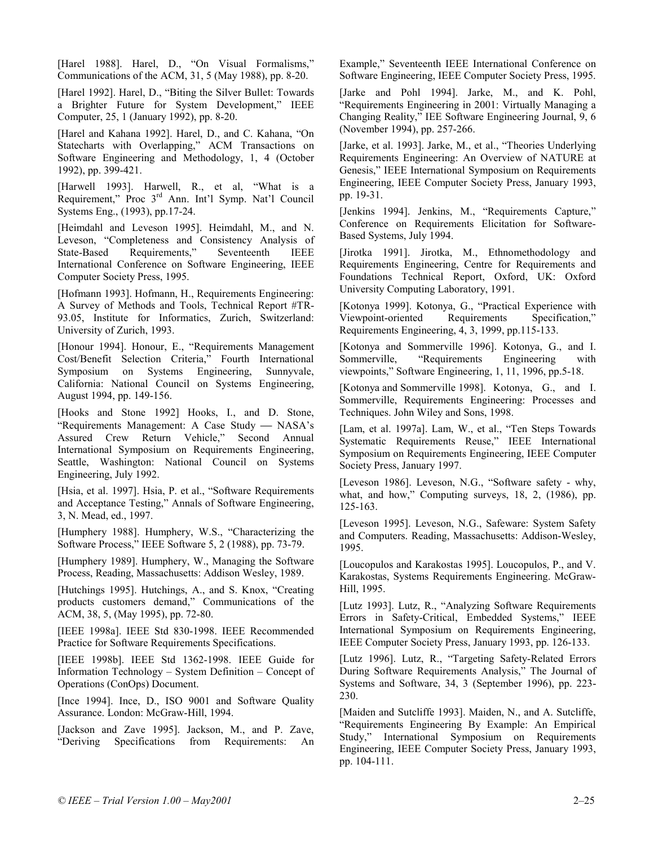[Harel 1988]. Harel, D., "On Visual Formalisms," Communications of the ACM, 31, 5 (May 1988), pp. 8-20.

[Harel 1992]. Harel, D., "Biting the Silver Bullet: Towards a Brighter Future for System Development," IEEE Computer, 25, 1 (January 1992), pp. 8-20.

[Harel and Kahana 1992]. Harel, D., and C. Kahana, "On Statecharts with Overlapping," ACM Transactions on Software Engineering and Methodology, 1, 4 (October 1992), pp. 399-421.

[Harwell 1993]. Harwell, R., et al, "What is a Requirement," Proc 3rd Ann. Int'l Symp. Nat'l Council Systems Eng., (1993), pp.17-24.

[Heimdahl and Leveson 1995]. Heimdahl, M., and N. Leveson, "Completeness and Consistency Analysis of State-Based Requirements," Seventeenth IEEE International Conference on Software Engineering, IEEE Computer Society Press, 1995.

[Hofmann 1993]. Hofmann, H., Requirements Engineering: A Survey of Methods and Tools, Technical Report #TR-93.05, Institute for Informatics, Zurich, Switzerland: University of Zurich, 1993.

[Honour 1994]. Honour, E., "Requirements Management Cost/Benefit Selection Criteria," Fourth International Symposium on Systems Engineering, Sunnyvale, California: National Council on Systems Engineering, August 1994, pp. 149-156.

[Hooks and Stone 1992] Hooks, I., and D. Stone, "Requirements Management: A Case Study NASA's Assured Crew Return Vehicle," Second Annual International Symposium on Requirements Engineering, Seattle, Washington: National Council on Systems Engineering, July 1992.

[Hsia, et al. 1997]. Hsia, P. et al., "Software Requirements and Acceptance Testing," Annals of Software Engineering, 3, N. Mead, ed., 1997.

[Humphery 1988]. Humphery, W.S., "Characterizing the Software Process," IEEE Software 5, 2 (1988), pp. 73-79.

[Humphery 1989]. Humphery, W., Managing the Software Process, Reading, Massachusetts: Addison Wesley, 1989.

[Hutchings 1995]. Hutchings, A., and S. Knox, "Creating products customers demand," Communications of the ACM, 38, 5, (May 1995), pp. 72-80.

[IEEE 1998a]. IEEE Std 830-1998. IEEE Recommended Practice for Software Requirements Specifications.

[IEEE 1998b]. IEEE Std 1362-1998. IEEE Guide for Information Technology – System Definition – Concept of Operations (ConOps) Document.

[Ince 1994]. Ince, D., ISO 9001 and Software Quality Assurance. London: McGraw-Hill, 1994.

[Jackson and Zave 1995]. Jackson, M., and P. Zave, "Deriving Specifications from Requirements: An Example," Seventeenth IEEE International Conference on Software Engineering, IEEE Computer Society Press, 1995.

[Jarke and Pohl 1994]. Jarke, M., and K. Pohl, "Requirements Engineering in 2001: Virtually Managing a Changing Reality," IEE Software Engineering Journal, 9, 6 (November 1994), pp. 257-266.

[Jarke, et al. 1993]. Jarke, M., et al., "Theories Underlying Requirements Engineering: An Overview of NATURE at Genesis," IEEE International Symposium on Requirements Engineering, IEEE Computer Society Press, January 1993, pp. 19-31.

[Jenkins 1994]. Jenkins, M., "Requirements Capture," Conference on Requirements Elicitation for Software-Based Systems, July 1994.

[Jirotka 1991]. Jirotka, M., Ethnomethodology and Requirements Engineering, Centre for Requirements and Foundations Technical Report, Oxford, UK: Oxford University Computing Laboratory, 1991.

[Kotonya 1999]. Kotonya, G., "Practical Experience with Viewpoint-oriented Requirements Specification," Requirements Engineering, 4, 3, 1999, pp.115-133.

[Kotonya and Sommerville 1996]. Kotonya, G., and I. Sommerville, "Requirements Engineering with viewpoints," Software Engineering, 1, 11, 1996, pp.5-18.

[Kotonya and Sommerville 1998]. Kotonya, G., and I. Sommerville, Requirements Engineering: Processes and Techniques. John Wiley and Sons, 1998.

[Lam, et al. 1997a]. Lam, W., et al., "Ten Steps Towards Systematic Requirements Reuse," IEEE International Symposium on Requirements Engineering, IEEE Computer Society Press, January 1997.

[Leveson 1986]. Leveson, N.G., "Software safety - why, what, and how," Computing surveys, 18, 2, (1986), pp. 125-163.

[Leveson 1995]. Leveson, N.G., Safeware: System Safety and Computers. Reading, Massachusetts: Addison-Wesley, 1995.

[Loucopulos and Karakostas 1995]. Loucopulos, P., and V. Karakostas, Systems Requirements Engineering. McGraw-Hill, 1995.

[Lutz 1993]. Lutz, R., "Analyzing Software Requirements Errors in Safety-Critical, Embedded Systems," IEEE International Symposium on Requirements Engineering, IEEE Computer Society Press, January 1993, pp. 126-133.

[Lutz 1996]. Lutz, R., "Targeting Safety-Related Errors During Software Requirements Analysis," The Journal of Systems and Software, 34, 3 (September 1996), pp. 223- 230.

[Maiden and Sutcliffe 1993]. Maiden, N., and A. Sutcliffe, "Requirements Engineering By Example: An Empirical Study," International Symposium on Requirements Engineering, IEEE Computer Society Press, January 1993, pp. 104-111.